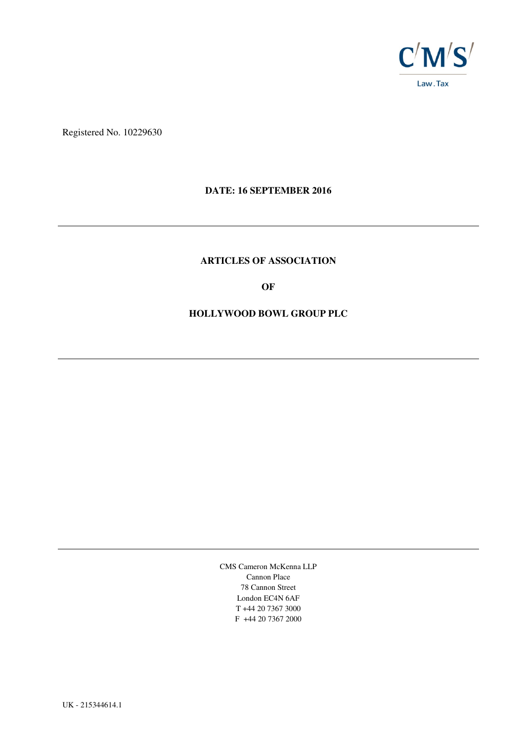

Registered No. 10229630

## **DATE: 16 SEPTEMBER 2016**

## **ARTICLES OF ASSOCIATION**

**OF** 

## **HOLLYWOOD BOWL GROUP PLC**

CMS Cameron McKenna LLP Cannon Place 78 Cannon Street London EC4N 6AF T +44 20 7367 3000 F +44 20 7367 2000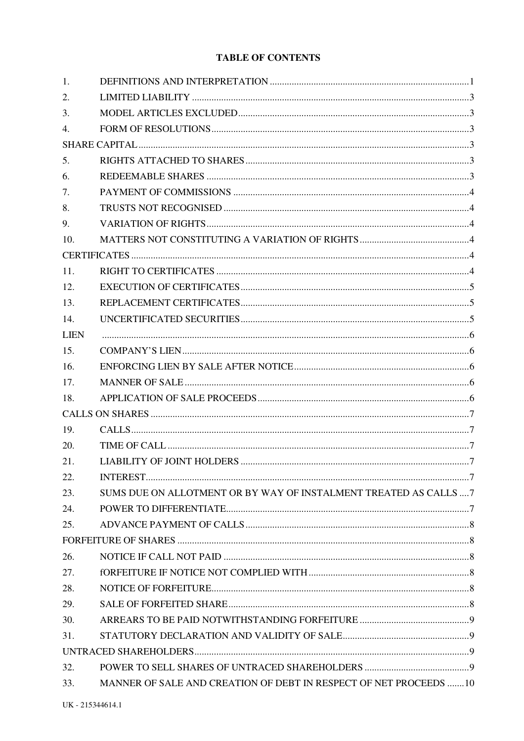# **TABLE OF CONTENTS**

| 1.          |                                                                   |  |
|-------------|-------------------------------------------------------------------|--|
| 2.          |                                                                   |  |
| 3.          |                                                                   |  |
| 4.          |                                                                   |  |
|             |                                                                   |  |
| 5.          |                                                                   |  |
| 6.          |                                                                   |  |
| 7.          |                                                                   |  |
| 8.          |                                                                   |  |
| 9.          |                                                                   |  |
| 10.         |                                                                   |  |
|             |                                                                   |  |
| 11.         |                                                                   |  |
| 12.         |                                                                   |  |
| 13.         |                                                                   |  |
| 14.         |                                                                   |  |
| <b>LIEN</b> |                                                                   |  |
| 15.         |                                                                   |  |
| 16.         |                                                                   |  |
| 17.         |                                                                   |  |
| 18.         |                                                                   |  |
|             |                                                                   |  |
| 19.         |                                                                   |  |
| 20.         |                                                                   |  |
|             |                                                                   |  |
| 21.         |                                                                   |  |
| 22.         |                                                                   |  |
| 23.         | SUMS DUE ON ALLOTMENT OR BY WAY OF INSTALMENT TREATED AS CALLS  7 |  |
| 24.         |                                                                   |  |
| 25.         |                                                                   |  |
|             |                                                                   |  |
| 26.         |                                                                   |  |
| 27.         |                                                                   |  |
| 28.         |                                                                   |  |
| 29.         |                                                                   |  |
| 30.         |                                                                   |  |
| 31.         |                                                                   |  |
|             |                                                                   |  |
| 32.         |                                                                   |  |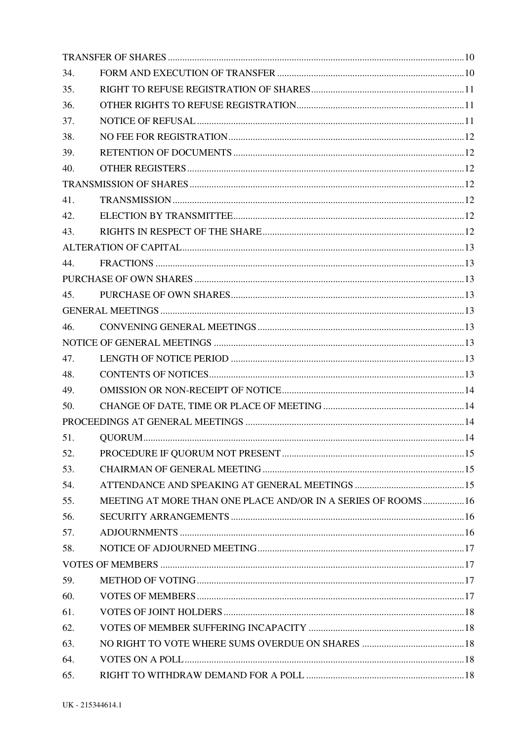| 34. |                                                               |  |
|-----|---------------------------------------------------------------|--|
| 35. |                                                               |  |
| 36. |                                                               |  |
| 37. |                                                               |  |
| 38. |                                                               |  |
| 39. |                                                               |  |
| 40. |                                                               |  |
|     |                                                               |  |
| 41. |                                                               |  |
| 42. |                                                               |  |
| 43. |                                                               |  |
|     |                                                               |  |
| 44. |                                                               |  |
|     |                                                               |  |
| 45. |                                                               |  |
|     |                                                               |  |
| 46. |                                                               |  |
|     |                                                               |  |
| 47. |                                                               |  |
| 48. |                                                               |  |
| 49. |                                                               |  |
| 50. |                                                               |  |
|     |                                                               |  |
| 51. |                                                               |  |
| 52. |                                                               |  |
| 53. |                                                               |  |
| 54. |                                                               |  |
| 55. | MEETING AT MORE THAN ONE PLACE AND/OR IN A SERIES OF ROOMS 16 |  |
| 56. |                                                               |  |
| 57. |                                                               |  |
| 58. |                                                               |  |
|     |                                                               |  |
| 59. |                                                               |  |
| 60. |                                                               |  |
| 61. |                                                               |  |
| 62. |                                                               |  |
| 63. |                                                               |  |
| 64. |                                                               |  |
| 65. |                                                               |  |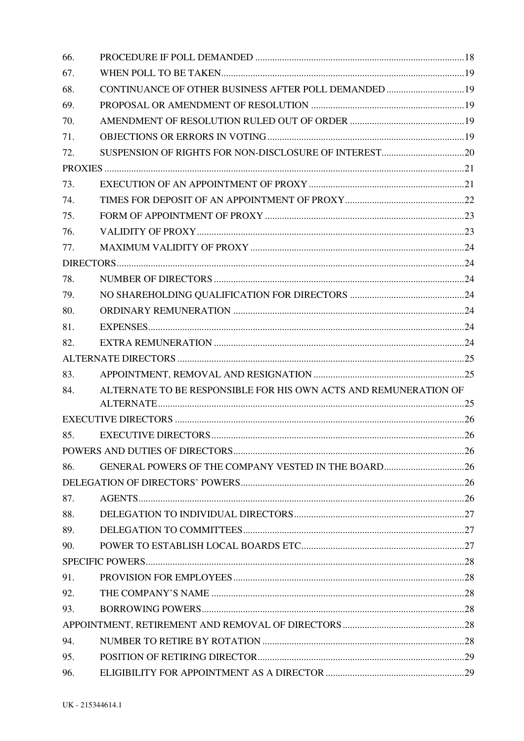| 66. |                                                                  |  |
|-----|------------------------------------------------------------------|--|
| 67. |                                                                  |  |
| 68. | CONTINUANCE OF OTHER BUSINESS AFTER POLL DEMANDED  19            |  |
| 69. |                                                                  |  |
| 70. |                                                                  |  |
| 71. |                                                                  |  |
| 72. |                                                                  |  |
|     |                                                                  |  |
| 73. |                                                                  |  |
| 74. |                                                                  |  |
| 75. |                                                                  |  |
| 76. |                                                                  |  |
| 77. |                                                                  |  |
|     |                                                                  |  |
| 78. |                                                                  |  |
| 79. |                                                                  |  |
| 80. |                                                                  |  |
| 81. |                                                                  |  |
| 82. |                                                                  |  |
|     |                                                                  |  |
| 83. |                                                                  |  |
| 84. | ALTERNATE TO BE RESPONSIBLE FOR HIS OWN ACTS AND REMUNERATION OF |  |
|     |                                                                  |  |
|     |                                                                  |  |
| 85. |                                                                  |  |
|     |                                                                  |  |
| 86. | GENERAL POWERS OF THE COMPANY VESTED IN THE BOARD26              |  |
|     |                                                                  |  |
| 87. |                                                                  |  |
| 88. |                                                                  |  |
| 89. |                                                                  |  |
| 90. |                                                                  |  |
|     |                                                                  |  |
| 91. |                                                                  |  |
| 92. |                                                                  |  |
| 93. |                                                                  |  |
|     |                                                                  |  |
| 94. |                                                                  |  |
| 95. |                                                                  |  |
| 96. |                                                                  |  |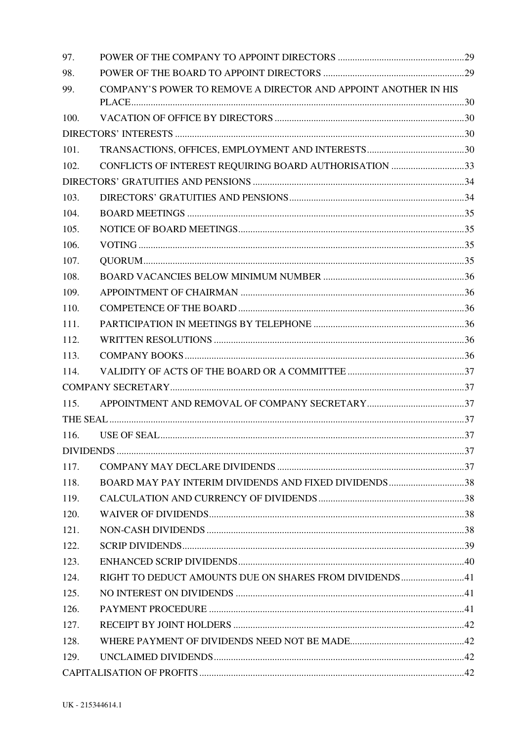| 97.  |                                                                 |  |
|------|-----------------------------------------------------------------|--|
| 98.  |                                                                 |  |
| 99.  | COMPANY'S POWER TO REMOVE A DIRECTOR AND APPOINT ANOTHER IN HIS |  |
| 100. |                                                                 |  |
|      |                                                                 |  |
| 101. |                                                                 |  |
| 102. | CONFLICTS OF INTEREST REQUIRING BOARD AUTHORISATION 33          |  |
|      |                                                                 |  |
| 103. |                                                                 |  |
| 104. |                                                                 |  |
| 105. |                                                                 |  |
| 106. |                                                                 |  |
| 107. |                                                                 |  |
| 108. |                                                                 |  |
| 109. |                                                                 |  |
| 110. |                                                                 |  |
| 111. |                                                                 |  |
| 112. |                                                                 |  |
| 113. |                                                                 |  |
| 114. |                                                                 |  |
|      |                                                                 |  |
| 115. |                                                                 |  |
|      |                                                                 |  |
| 116. |                                                                 |  |
|      |                                                                 |  |
| 117. |                                                                 |  |
| 118. | BOARD MAY PAY INTERIM DIVIDENDS AND FIXED DIVIDENDS38           |  |
| 119. |                                                                 |  |
| 120. |                                                                 |  |
| 121. |                                                                 |  |
| 122. |                                                                 |  |
| 123. |                                                                 |  |
| 124. | RIGHT TO DEDUCT AMOUNTS DUE ON SHARES FROM DIVIDENDS41          |  |
| 125. |                                                                 |  |
| 126. |                                                                 |  |
| 127. |                                                                 |  |
| 128. |                                                                 |  |
| 129. |                                                                 |  |
|      |                                                                 |  |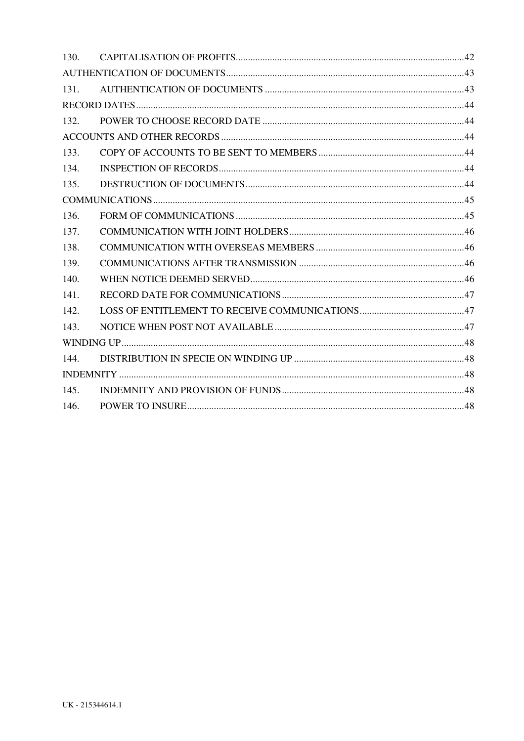| 130. |  |
|------|--|
|      |  |
| 131. |  |
|      |  |
| 132. |  |
|      |  |
| 133. |  |
| 134. |  |
| 135. |  |
|      |  |
| 136. |  |
| 137. |  |
| 138. |  |
| 139. |  |
| 140. |  |
| 141. |  |
| 142. |  |
| 143. |  |
|      |  |
| 144. |  |
|      |  |
| 145. |  |
| 146. |  |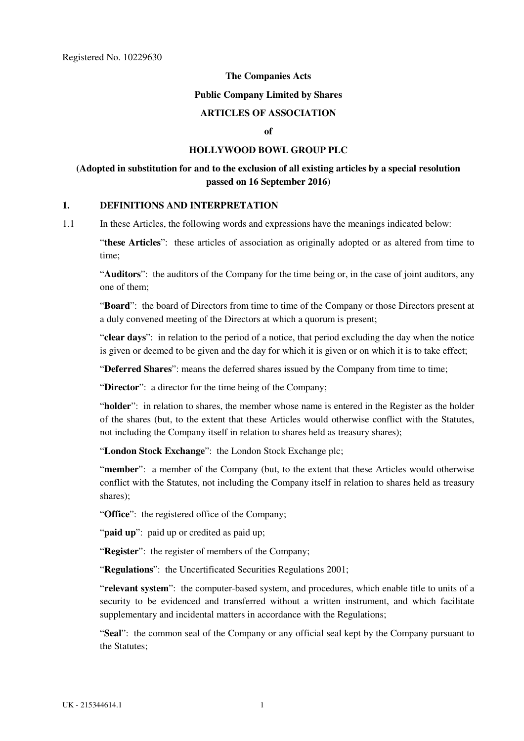#### **The Companies Acts**

#### **Public Company Limited by Shares**

# **ARTICLES OF ASSOCIATION**

## $\mathbf{f}$

# **HOLLYWOOD BOWL GROUP PLC**

# <span id="page-6-0"></span>**(Adopted in substitution for and to the exclusion of all existing articles by a special resolution passed on 16 September 2016)**

#### **1. DEFINITIONS AND INTERPRETATION**

1.1 In these Articles, the following words and expressions have the meanings indicated below:

"**these Articles**": these articles of association as originally adopted or as altered from time to time;

"**Auditors**": the auditors of the Company for the time being or, in the case of joint auditors, any one of them;

"**Board**": the board of Directors from time to time of the Company or those Directors present at a duly convened meeting of the Directors at which a quorum is present;

"**clear days**": in relation to the period of a notice, that period excluding the day when the notice is given or deemed to be given and the day for which it is given or on which it is to take effect;

"**Deferred Shares**": means the deferred shares issued by the Company from time to time;

"Director": a director for the time being of the Company;

"**holder**": in relation to shares, the member whose name is entered in the Register as the holder of the shares (but, to the extent that these Articles would otherwise conflict with the Statutes, not including the Company itself in relation to shares held as treasury shares);

"**London Stock Exchange**": the London Stock Exchange plc;

"**member**": a member of the Company (but, to the extent that these Articles would otherwise conflict with the Statutes, not including the Company itself in relation to shares held as treasury shares);

"**Office**": the registered office of the Company;

"**paid up**": paid up or credited as paid up;

"**Register**": the register of members of the Company;

"**Regulations**": the Uncertificated Securities Regulations 2001;

"**relevant system**": the computer-based system, and procedures, which enable title to units of a security to be evidenced and transferred without a written instrument, and which facilitate supplementary and incidental matters in accordance with the Regulations;

"**Seal**": the common seal of the Company or any official seal kept by the Company pursuant to the Statutes;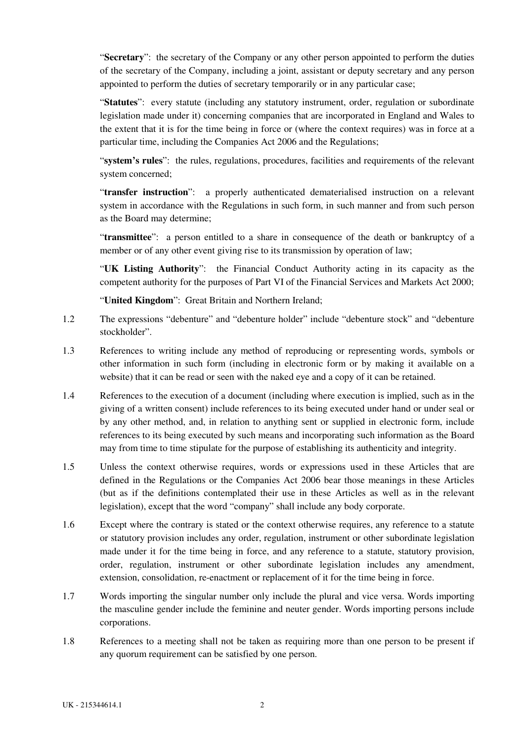"**Secretary**": the secretary of the Company or any other person appointed to perform the duties of the secretary of the Company, including a joint, assistant or deputy secretary and any person appointed to perform the duties of secretary temporarily or in any particular case;

"**Statutes**": every statute (including any statutory instrument, order, regulation or subordinate legislation made under it) concerning companies that are incorporated in England and Wales to the extent that it is for the time being in force or (where the context requires) was in force at a particular time, including the Companies Act 2006 and the Regulations;

"**system's rules**": the rules, regulations, procedures, facilities and requirements of the relevant system concerned;

"**transfer instruction**": a properly authenticated dematerialised instruction on a relevant system in accordance with the Regulations in such form, in such manner and from such person as the Board may determine;

"**transmittee**": a person entitled to a share in consequence of the death or bankruptcy of a member or of any other event giving rise to its transmission by operation of law;

"**UK Listing Authority**": the Financial Conduct Authority acting in its capacity as the competent authority for the purposes of Part VI of the Financial Services and Markets Act 2000;

"**United Kingdom**": Great Britain and Northern Ireland;

- 1.2 The expressions "debenture" and "debenture holder" include "debenture stock" and "debenture stockholder".
- 1.3 References to writing include any method of reproducing or representing words, symbols or other information in such form (including in electronic form or by making it available on a website) that it can be read or seen with the naked eye and a copy of it can be retained.
- 1.4 References to the execution of a document (including where execution is implied, such as in the giving of a written consent) include references to its being executed under hand or under seal or by any other method, and, in relation to anything sent or supplied in electronic form, include references to its being executed by such means and incorporating such information as the Board may from time to time stipulate for the purpose of establishing its authenticity and integrity.
- 1.5 Unless the context otherwise requires, words or expressions used in these Articles that are defined in the Regulations or the Companies Act 2006 bear those meanings in these Articles (but as if the definitions contemplated their use in these Articles as well as in the relevant legislation), except that the word "company" shall include any body corporate.
- 1.6 Except where the contrary is stated or the context otherwise requires, any reference to a statute or statutory provision includes any order, regulation, instrument or other subordinate legislation made under it for the time being in force, and any reference to a statute, statutory provision, order, regulation, instrument or other subordinate legislation includes any amendment, extension, consolidation, re-enactment or replacement of it for the time being in force.
- 1.7 Words importing the singular number only include the plural and vice versa. Words importing the masculine gender include the feminine and neuter gender. Words importing persons include corporations.
- 1.8 References to a meeting shall not be taken as requiring more than one person to be present if any quorum requirement can be satisfied by one person.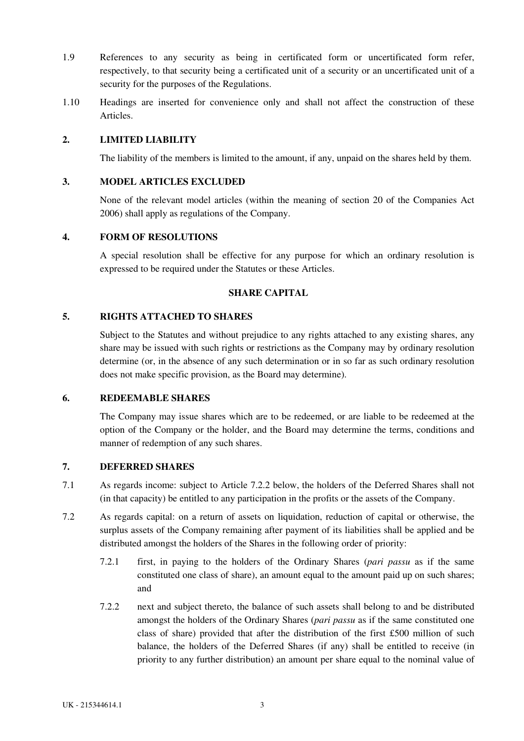- <span id="page-8-0"></span>1.9 References to any security as being in certificated form or uncertificated form refer, respectively, to that security being a certificated unit of a security or an uncertificated unit of a security for the purposes of the Regulations.
- 1.10 Headings are inserted for convenience only and shall not affect the construction of these Articles.

## **2. LIMITED LIABILITY**

The liability of the members is limited to the amount, if any, unpaid on the shares held by them.

## **3. MODEL ARTICLES EXCLUDED**

None of the relevant model articles (within the meaning of section 20 of the Companies Act 2006) shall apply as regulations of the Company.

## **4. FORM OF RESOLUTIONS**

A special resolution shall be effective for any purpose for which an ordinary resolution is expressed to be required under the Statutes or these Articles.

## **SHARE CAPITAL**

# **5. RIGHTS ATTACHED TO SHARES**

Subject to the Statutes and without prejudice to any rights attached to any existing shares, any share may be issued with such rights or restrictions as the Company may by ordinary resolution determine (or, in the absence of any such determination or in so far as such ordinary resolution does not make specific provision, as the Board may determine).

## **6. REDEEMABLE SHARES**

The Company may issue shares which are to be redeemed, or are liable to be redeemed at the option of the Company or the holder, and the Board may determine the terms, conditions and manner of redemption of any such shares.

## **7. DEFERRED SHARES**

- 7.1 As regards income: subject to Article 7.2.2 below, the holders of the Deferred Shares shall not (in that capacity) be entitled to any participation in the profits or the assets of the Company.
- 7.2 As regards capital: on a return of assets on liquidation, reduction of capital or otherwise, the surplus assets of the Company remaining after payment of its liabilities shall be applied and be distributed amongst the holders of the Shares in the following order of priority:
	- 7.2.1 first, in paying to the holders of the Ordinary Shares (*pari passu* as if the same constituted one class of share), an amount equal to the amount paid up on such shares; and
	- 7.2.2 next and subject thereto, the balance of such assets shall belong to and be distributed amongst the holders of the Ordinary Shares (*pari passu* as if the same constituted one class of share) provided that after the distribution of the first £500 million of such balance, the holders of the Deferred Shares (if any) shall be entitled to receive (in priority to any further distribution) an amount per share equal to the nominal value of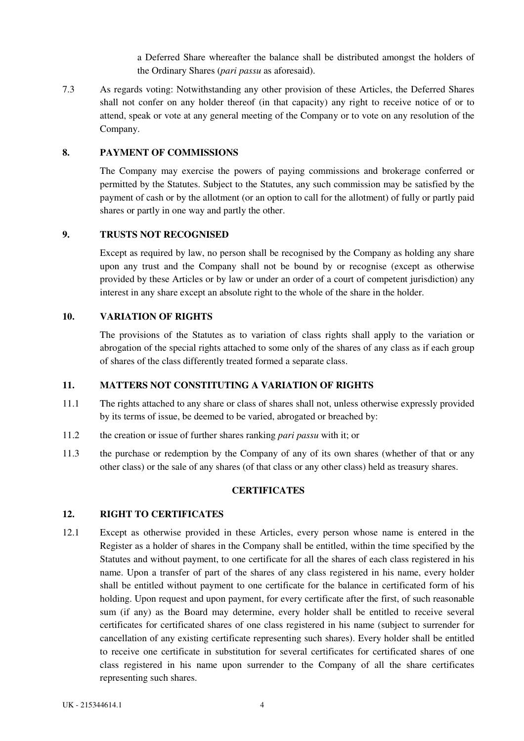a Deferred Share whereafter the balance shall be distributed amongst the holders of the Ordinary Shares (*pari passu* as aforesaid).

<span id="page-9-0"></span>7.3 As regards voting: Notwithstanding any other provision of these Articles, the Deferred Shares shall not confer on any holder thereof (in that capacity) any right to receive notice of or to attend, speak or vote at any general meeting of the Company or to vote on any resolution of the Company.

# **8. PAYMENT OF COMMISSIONS**

The Company may exercise the powers of paying commissions and brokerage conferred or permitted by the Statutes. Subject to the Statutes, any such commission may be satisfied by the payment of cash or by the allotment (or an option to call for the allotment) of fully or partly paid shares or partly in one way and partly the other.

### **9. TRUSTS NOT RECOGNISED**

Except as required by law, no person shall be recognised by the Company as holding any share upon any trust and the Company shall not be bound by or recognise (except as otherwise provided by these Articles or by law or under an order of a court of competent jurisdiction) any interest in any share except an absolute right to the whole of the share in the holder.

### **10. VARIATION OF RIGHTS**

The provisions of the Statutes as to variation of class rights shall apply to the variation or abrogation of the special rights attached to some only of the shares of any class as if each group of shares of the class differently treated formed a separate class.

## **11. MATTERS NOT CONSTITUTING A VARIATION OF RIGHTS**

- 11.1 The rights attached to any share or class of shares shall not, unless otherwise expressly provided by its terms of issue, be deemed to be varied, abrogated or breached by:
- 11.2 the creation or issue of further shares ranking *pari passu* with it; or
- 11.3 the purchase or redemption by the Company of any of its own shares (whether of that or any other class) or the sale of any shares (of that class or any other class) held as treasury shares.

## **CERTIFICATES**

# **12. RIGHT TO CERTIFICATES**

12.1 Except as otherwise provided in these Articles, every person whose name is entered in the Register as a holder of shares in the Company shall be entitled, within the time specified by the Statutes and without payment, to one certificate for all the shares of each class registered in his name. Upon a transfer of part of the shares of any class registered in his name, every holder shall be entitled without payment to one certificate for the balance in certificated form of his holding. Upon request and upon payment, for every certificate after the first, of such reasonable sum (if any) as the Board may determine, every holder shall be entitled to receive several certificates for certificated shares of one class registered in his name (subject to surrender for cancellation of any existing certificate representing such shares). Every holder shall be entitled to receive one certificate in substitution for several certificates for certificated shares of one class registered in his name upon surrender to the Company of all the share certificates representing such shares.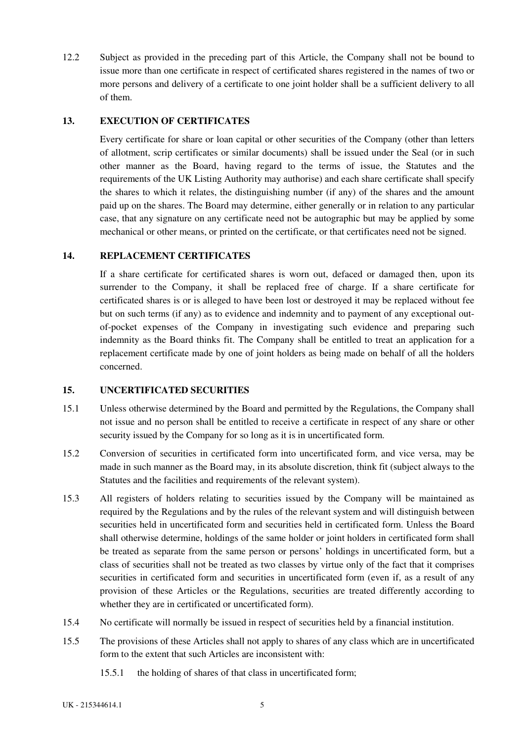<span id="page-10-0"></span>12.2 Subject as provided in the preceding part of this Article, the Company shall not be bound to issue more than one certificate in respect of certificated shares registered in the names of two or more persons and delivery of a certificate to one joint holder shall be a sufficient delivery to all of them.

## **13. EXECUTION OF CERTIFICATES**

Every certificate for share or loan capital or other securities of the Company (other than letters of allotment, scrip certificates or similar documents) shall be issued under the Seal (or in such other manner as the Board, having regard to the terms of issue, the Statutes and the requirements of the UK Listing Authority may authorise) and each share certificate shall specify the shares to which it relates, the distinguishing number (if any) of the shares and the amount paid up on the shares. The Board may determine, either generally or in relation to any particular case, that any signature on any certificate need not be autographic but may be applied by some mechanical or other means, or printed on the certificate, or that certificates need not be signed.

## **14. REPLACEMENT CERTIFICATES**

If a share certificate for certificated shares is worn out, defaced or damaged then, upon its surrender to the Company, it shall be replaced free of charge. If a share certificate for certificated shares is or is alleged to have been lost or destroyed it may be replaced without fee but on such terms (if any) as to evidence and indemnity and to payment of any exceptional outof-pocket expenses of the Company in investigating such evidence and preparing such indemnity as the Board thinks fit. The Company shall be entitled to treat an application for a replacement certificate made by one of joint holders as being made on behalf of all the holders concerned.

## **15. UNCERTIFICATED SECURITIES**

- 15.1 Unless otherwise determined by the Board and permitted by the Regulations, the Company shall not issue and no person shall be entitled to receive a certificate in respect of any share or other security issued by the Company for so long as it is in uncertificated form.
- 15.2 Conversion of securities in certificated form into uncertificated form, and vice versa, may be made in such manner as the Board may, in its absolute discretion, think fit (subject always to the Statutes and the facilities and requirements of the relevant system).
- 15.3 All registers of holders relating to securities issued by the Company will be maintained as required by the Regulations and by the rules of the relevant system and will distinguish between securities held in uncertificated form and securities held in certificated form. Unless the Board shall otherwise determine, holdings of the same holder or joint holders in certificated form shall be treated as separate from the same person or persons' holdings in uncertificated form, but a class of securities shall not be treated as two classes by virtue only of the fact that it comprises securities in certificated form and securities in uncertificated form (even if, as a result of any provision of these Articles or the Regulations, securities are treated differently according to whether they are in certificated or uncertificated form).
- 15.4 No certificate will normally be issued in respect of securities held by a financial institution.
- 15.5 The provisions of these Articles shall not apply to shares of any class which are in uncertificated form to the extent that such Articles are inconsistent with:
	- 15.5.1 the holding of shares of that class in uncertificated form;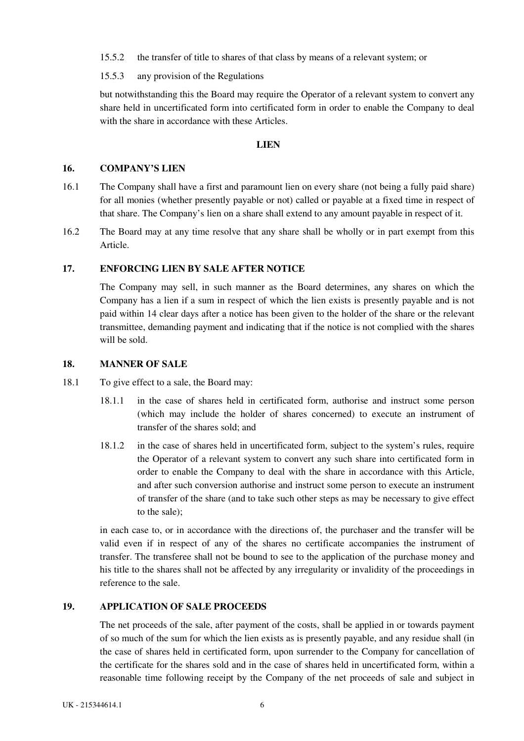<span id="page-11-0"></span>15.5.2 the transfer of title to shares of that class by means of a relevant system; or

15.5.3 any provision of the Regulations

but notwithstanding this the Board may require the Operator of a relevant system to convert any share held in uncertificated form into certificated form in order to enable the Company to deal with the share in accordance with these Articles.

### **LIEN**

#### **16. COMPANY'S LIEN**

- 16.1 The Company shall have a first and paramount lien on every share (not being a fully paid share) for all monies (whether presently payable or not) called or payable at a fixed time in respect of that share. The Company's lien on a share shall extend to any amount payable in respect of it.
- 16.2 The Board may at any time resolve that any share shall be wholly or in part exempt from this Article.

## **17. ENFORCING LIEN BY SALE AFTER NOTICE**

The Company may sell, in such manner as the Board determines, any shares on which the Company has a lien if a sum in respect of which the lien exists is presently payable and is not paid within 14 clear days after a notice has been given to the holder of the share or the relevant transmittee, demanding payment and indicating that if the notice is not complied with the shares will be sold.

## **18. MANNER OF SALE**

- 18.1 To give effect to a sale, the Board may:
	- 18.1.1 in the case of shares held in certificated form, authorise and instruct some person (which may include the holder of shares concerned) to execute an instrument of transfer of the shares sold; and
	- 18.1.2 in the case of shares held in uncertificated form, subject to the system's rules, require the Operator of a relevant system to convert any such share into certificated form in order to enable the Company to deal with the share in accordance with this Article, and after such conversion authorise and instruct some person to execute an instrument of transfer of the share (and to take such other steps as may be necessary to give effect to the sale);

in each case to, or in accordance with the directions of, the purchaser and the transfer will be valid even if in respect of any of the shares no certificate accompanies the instrument of transfer. The transferee shall not be bound to see to the application of the purchase money and his title to the shares shall not be affected by any irregularity or invalidity of the proceedings in reference to the sale.

# **19. APPLICATION OF SALE PROCEEDS**

The net proceeds of the sale, after payment of the costs, shall be applied in or towards payment of so much of the sum for which the lien exists as is presently payable, and any residue shall (in the case of shares held in certificated form, upon surrender to the Company for cancellation of the certificate for the shares sold and in the case of shares held in uncertificated form, within a reasonable time following receipt by the Company of the net proceeds of sale and subject in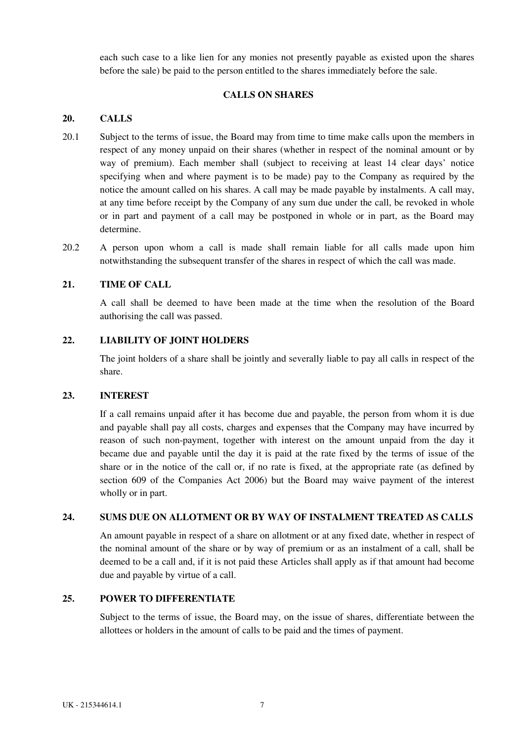<span id="page-12-0"></span>each such case to a like lien for any monies not presently payable as existed upon the shares before the sale) be paid to the person entitled to the shares immediately before the sale.

## **CALLS ON SHARES**

## **20. CALLS**

- 20.1 Subject to the terms of issue, the Board may from time to time make calls upon the members in respect of any money unpaid on their shares (whether in respect of the nominal amount or by way of premium). Each member shall (subject to receiving at least 14 clear days' notice specifying when and where payment is to be made) pay to the Company as required by the notice the amount called on his shares. A call may be made payable by instalments. A call may, at any time before receipt by the Company of any sum due under the call, be revoked in whole or in part and payment of a call may be postponed in whole or in part, as the Board may determine.
- 20.2 A person upon whom a call is made shall remain liable for all calls made upon him notwithstanding the subsequent transfer of the shares in respect of which the call was made.

## **21. TIME OF CALL**

A call shall be deemed to have been made at the time when the resolution of the Board authorising the call was passed.

## **22. LIABILITY OF JOINT HOLDERS**

The joint holders of a share shall be jointly and severally liable to pay all calls in respect of the share.

## **23. INTEREST**

If a call remains unpaid after it has become due and payable, the person from whom it is due and payable shall pay all costs, charges and expenses that the Company may have incurred by reason of such non-payment, together with interest on the amount unpaid from the day it became due and payable until the day it is paid at the rate fixed by the terms of issue of the share or in the notice of the call or, if no rate is fixed, at the appropriate rate (as defined by section 609 of the Companies Act 2006) but the Board may waive payment of the interest wholly or in part.

## **24. SUMS DUE ON ALLOTMENT OR BY WAY OF INSTALMENT TREATED AS CALLS**

An amount payable in respect of a share on allotment or at any fixed date, whether in respect of the nominal amount of the share or by way of premium or as an instalment of a call, shall be deemed to be a call and, if it is not paid these Articles shall apply as if that amount had become due and payable by virtue of a call.

## **25. POWER TO DIFFERENTIATE**

Subject to the terms of issue, the Board may, on the issue of shares, differentiate between the allottees or holders in the amount of calls to be paid and the times of payment.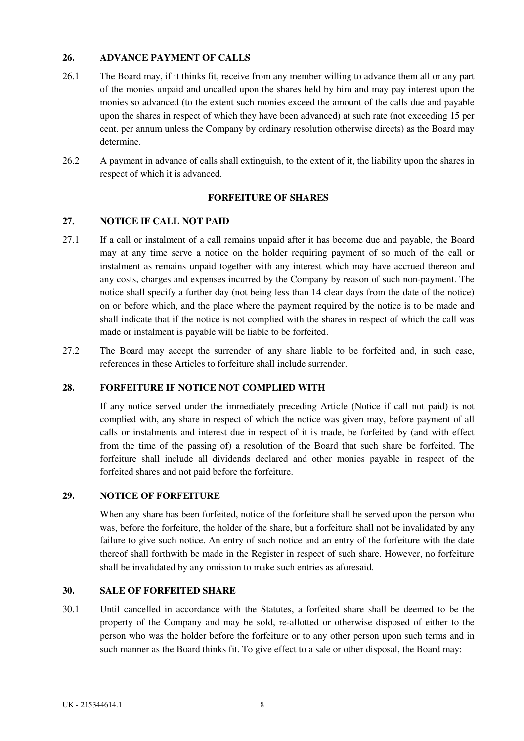## <span id="page-13-0"></span>**26. ADVANCE PAYMENT OF CALLS**

- 26.1 The Board may, if it thinks fit, receive from any member willing to advance them all or any part of the monies unpaid and uncalled upon the shares held by him and may pay interest upon the monies so advanced (to the extent such monies exceed the amount of the calls due and payable upon the shares in respect of which they have been advanced) at such rate (not exceeding 15 per cent. per annum unless the Company by ordinary resolution otherwise directs) as the Board may determine.
- 26.2 A payment in advance of calls shall extinguish, to the extent of it, the liability upon the shares in respect of which it is advanced.

## **FORFEITURE OF SHARES**

## **27. NOTICE IF CALL NOT PAID**

- 27.1 If a call or instalment of a call remains unpaid after it has become due and payable, the Board may at any time serve a notice on the holder requiring payment of so much of the call or instalment as remains unpaid together with any interest which may have accrued thereon and any costs, charges and expenses incurred by the Company by reason of such non-payment. The notice shall specify a further day (not being less than 14 clear days from the date of the notice) on or before which, and the place where the payment required by the notice is to be made and shall indicate that if the notice is not complied with the shares in respect of which the call was made or instalment is payable will be liable to be forfeited.
- 27.2 The Board may accept the surrender of any share liable to be forfeited and, in such case, references in these Articles to forfeiture shall include surrender.

# **28. FORFEITURE IF NOTICE NOT COMPLIED WITH**

If any notice served under the immediately preceding Article (Notice if call not paid) is not complied with, any share in respect of which the notice was given may, before payment of all calls or instalments and interest due in respect of it is made, be forfeited by (and with effect from the time of the passing of) a resolution of the Board that such share be forfeited. The forfeiture shall include all dividends declared and other monies payable in respect of the forfeited shares and not paid before the forfeiture.

## **29. NOTICE OF FORFEITURE**

When any share has been forfeited, notice of the forfeiture shall be served upon the person who was, before the forfeiture, the holder of the share, but a forfeiture shall not be invalidated by any failure to give such notice. An entry of such notice and an entry of the forfeiture with the date thereof shall forthwith be made in the Register in respect of such share. However, no forfeiture shall be invalidated by any omission to make such entries as aforesaid.

## **30. SALE OF FORFEITED SHARE**

30.1 Until cancelled in accordance with the Statutes, a forfeited share shall be deemed to be the property of the Company and may be sold, re-allotted or otherwise disposed of either to the person who was the holder before the forfeiture or to any other person upon such terms and in such manner as the Board thinks fit. To give effect to a sale or other disposal, the Board may: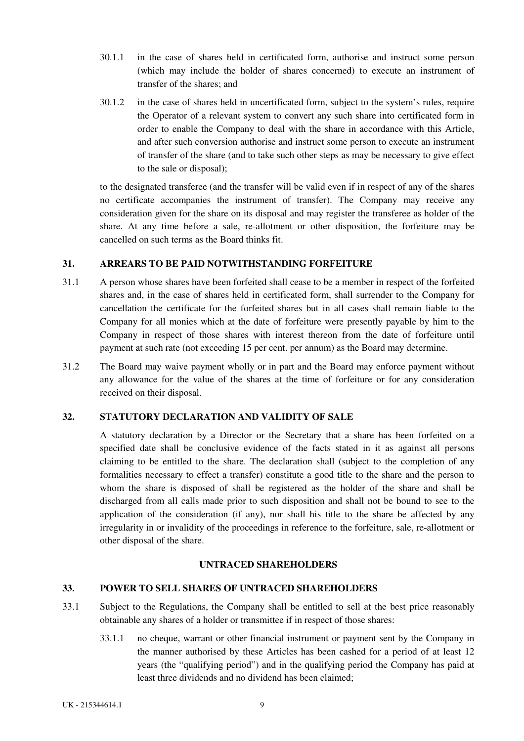- <span id="page-14-0"></span>30.1.1 in the case of shares held in certificated form, authorise and instruct some person (which may include the holder of shares concerned) to execute an instrument of transfer of the shares; and
- 30.1.2 in the case of shares held in uncertificated form, subject to the system's rules, require the Operator of a relevant system to convert any such share into certificated form in order to enable the Company to deal with the share in accordance with this Article, and after such conversion authorise and instruct some person to execute an instrument of transfer of the share (and to take such other steps as may be necessary to give effect to the sale or disposal);

to the designated transferee (and the transfer will be valid even if in respect of any of the shares no certificate accompanies the instrument of transfer). The Company may receive any consideration given for the share on its disposal and may register the transferee as holder of the share. At any time before a sale, re-allotment or other disposition, the forfeiture may be cancelled on such terms as the Board thinks fit.

## **31. ARREARS TO BE PAID NOTWITHSTANDING FORFEITURE**

- 31.1 A person whose shares have been forfeited shall cease to be a member in respect of the forfeited shares and, in the case of shares held in certificated form, shall surrender to the Company for cancellation the certificate for the forfeited shares but in all cases shall remain liable to the Company for all monies which at the date of forfeiture were presently payable by him to the Company in respect of those shares with interest thereon from the date of forfeiture until payment at such rate (not exceeding 15 per cent. per annum) as the Board may determine.
- 31.2 The Board may waive payment wholly or in part and the Board may enforce payment without any allowance for the value of the shares at the time of forfeiture or for any consideration received on their disposal.

## **32. STATUTORY DECLARATION AND VALIDITY OF SALE**

A statutory declaration by a Director or the Secretary that a share has been forfeited on a specified date shall be conclusive evidence of the facts stated in it as against all persons claiming to be entitled to the share. The declaration shall (subject to the completion of any formalities necessary to effect a transfer) constitute a good title to the share and the person to whom the share is disposed of shall be registered as the holder of the share and shall be discharged from all calls made prior to such disposition and shall not be bound to see to the application of the consideration (if any), nor shall his title to the share be affected by any irregularity in or invalidity of the proceedings in reference to the forfeiture, sale, re-allotment or other disposal of the share.

## **UNTRACED SHAREHOLDERS**

# **33. POWER TO SELL SHARES OF UNTRACED SHAREHOLDERS**

- 33.1 Subject to the Regulations, the Company shall be entitled to sell at the best price reasonably obtainable any shares of a holder or transmittee if in respect of those shares:
	- 33.1.1 no cheque, warrant or other financial instrument or payment sent by the Company in the manner authorised by these Articles has been cashed for a period of at least 12 years (the "qualifying period") and in the qualifying period the Company has paid at least three dividends and no dividend has been claimed;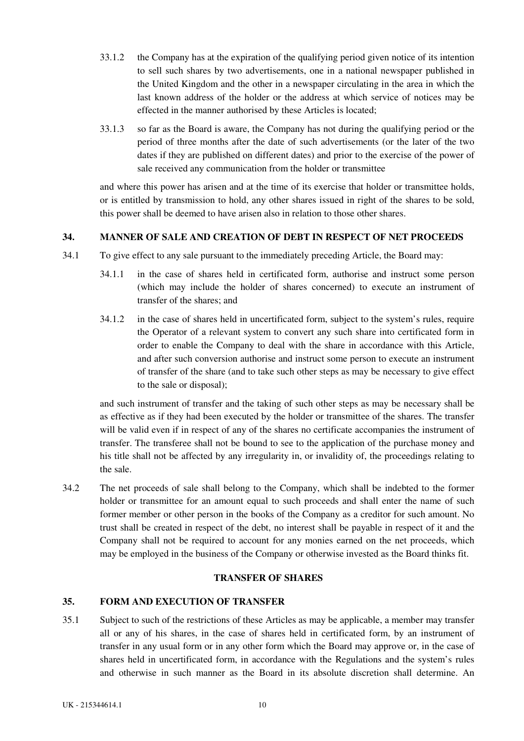- <span id="page-15-0"></span>33.1.2 the Company has at the expiration of the qualifying period given notice of its intention to sell such shares by two advertisements, one in a national newspaper published in the United Kingdom and the other in a newspaper circulating in the area in which the last known address of the holder or the address at which service of notices may be effected in the manner authorised by these Articles is located;
- 33.1.3 so far as the Board is aware, the Company has not during the qualifying period or the period of three months after the date of such advertisements (or the later of the two dates if they are published on different dates) and prior to the exercise of the power of sale received any communication from the holder or transmittee

and where this power has arisen and at the time of its exercise that holder or transmittee holds, or is entitled by transmission to hold, any other shares issued in right of the shares to be sold, this power shall be deemed to have arisen also in relation to those other shares.

## **34. MANNER OF SALE AND CREATION OF DEBT IN RESPECT OF NET PROCEEDS**

- 34.1 To give effect to any sale pursuant to the immediately preceding Article, the Board may:
	- 34.1.1 in the case of shares held in certificated form, authorise and instruct some person (which may include the holder of shares concerned) to execute an instrument of transfer of the shares; and
	- 34.1.2 in the case of shares held in uncertificated form, subject to the system's rules, require the Operator of a relevant system to convert any such share into certificated form in order to enable the Company to deal with the share in accordance with this Article, and after such conversion authorise and instruct some person to execute an instrument of transfer of the share (and to take such other steps as may be necessary to give effect to the sale or disposal);

and such instrument of transfer and the taking of such other steps as may be necessary shall be as effective as if they had been executed by the holder or transmittee of the shares. The transfer will be valid even if in respect of any of the shares no certificate accompanies the instrument of transfer. The transferee shall not be bound to see to the application of the purchase money and his title shall not be affected by any irregularity in, or invalidity of, the proceedings relating to the sale.

34.2 The net proceeds of sale shall belong to the Company, which shall be indebted to the former holder or transmittee for an amount equal to such proceeds and shall enter the name of such former member or other person in the books of the Company as a creditor for such amount. No trust shall be created in respect of the debt, no interest shall be payable in respect of it and the Company shall not be required to account for any monies earned on the net proceeds, which may be employed in the business of the Company or otherwise invested as the Board thinks fit.

## **TRANSFER OF SHARES**

# **35. FORM AND EXECUTION OF TRANSFER**

35.1 Subject to such of the restrictions of these Articles as may be applicable, a member may transfer all or any of his shares, in the case of shares held in certificated form, by an instrument of transfer in any usual form or in any other form which the Board may approve or, in the case of shares held in uncertificated form, in accordance with the Regulations and the system's rules and otherwise in such manner as the Board in its absolute discretion shall determine. An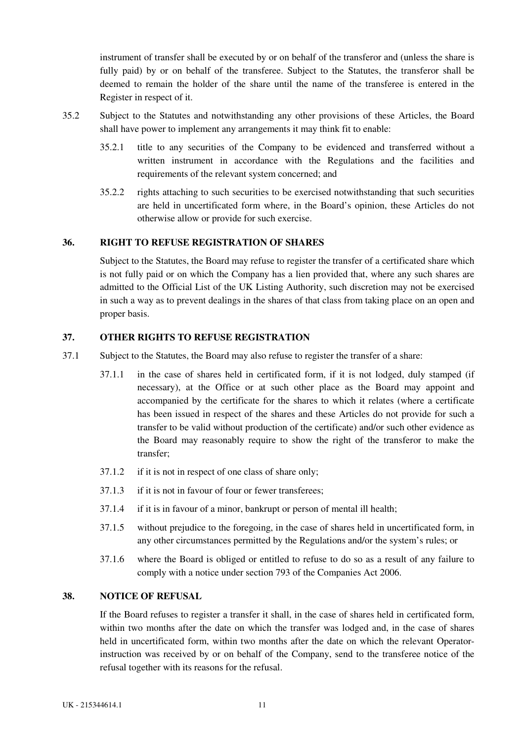<span id="page-16-0"></span>instrument of transfer shall be executed by or on behalf of the transferor and (unless the share is fully paid) by or on behalf of the transferee. Subject to the Statutes, the transferor shall be deemed to remain the holder of the share until the name of the transferee is entered in the Register in respect of it.

- 35.2 Subject to the Statutes and notwithstanding any other provisions of these Articles, the Board shall have power to implement any arrangements it may think fit to enable:
	- 35.2.1 title to any securities of the Company to be evidenced and transferred without a written instrument in accordance with the Regulations and the facilities and requirements of the relevant system concerned; and
	- 35.2.2 rights attaching to such securities to be exercised notwithstanding that such securities are held in uncertificated form where, in the Board's opinion, these Articles do not otherwise allow or provide for such exercise.

## **36. RIGHT TO REFUSE REGISTRATION OF SHARES**

Subject to the Statutes, the Board may refuse to register the transfer of a certificated share which is not fully paid or on which the Company has a lien provided that, where any such shares are admitted to the Official List of the UK Listing Authority, such discretion may not be exercised in such a way as to prevent dealings in the shares of that class from taking place on an open and proper basis.

## **37. OTHER RIGHTS TO REFUSE REGISTRATION**

- 37.1 Subject to the Statutes, the Board may also refuse to register the transfer of a share:
	- 37.1.1 in the case of shares held in certificated form, if it is not lodged, duly stamped (if necessary), at the Office or at such other place as the Board may appoint and accompanied by the certificate for the shares to which it relates (where a certificate has been issued in respect of the shares and these Articles do not provide for such a transfer to be valid without production of the certificate) and/or such other evidence as the Board may reasonably require to show the right of the transferor to make the transfer;
	- 37.1.2 if it is not in respect of one class of share only;
	- 37.1.3 if it is not in favour of four or fewer transferees;
	- 37.1.4 if it is in favour of a minor, bankrupt or person of mental ill health;
	- 37.1.5 without prejudice to the foregoing, in the case of shares held in uncertificated form, in any other circumstances permitted by the Regulations and/or the system's rules; or
	- 37.1.6 where the Board is obliged or entitled to refuse to do so as a result of any failure to comply with a notice under section 793 of the Companies Act 2006.

## **38. NOTICE OF REFUSAL**

If the Board refuses to register a transfer it shall, in the case of shares held in certificated form, within two months after the date on which the transfer was lodged and, in the case of shares held in uncertificated form, within two months after the date on which the relevant Operatorinstruction was received by or on behalf of the Company, send to the transferee notice of the refusal together with its reasons for the refusal.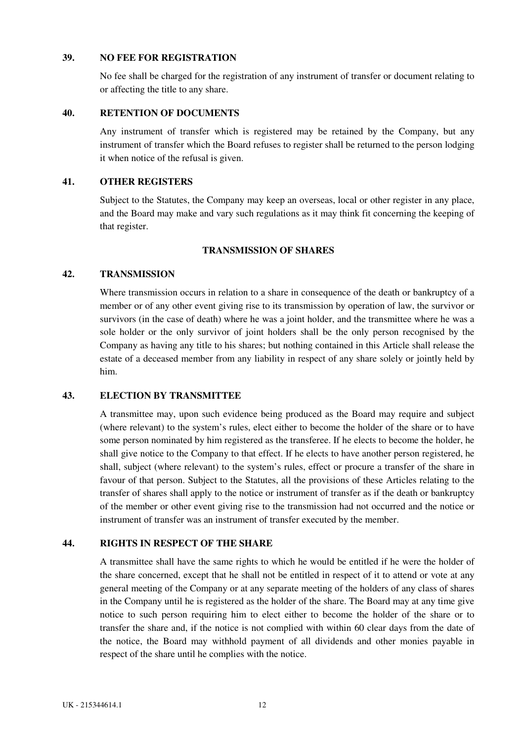## <span id="page-17-0"></span>**39. NO FEE FOR REGISTRATION**

No fee shall be charged for the registration of any instrument of transfer or document relating to or affecting the title to any share.

# **40. RETENTION OF DOCUMENTS**

Any instrument of transfer which is registered may be retained by the Company, but any instrument of transfer which the Board refuses to register shall be returned to the person lodging it when notice of the refusal is given.

### **41. OTHER REGISTERS**

Subject to the Statutes, the Company may keep an overseas, local or other register in any place, and the Board may make and vary such regulations as it may think fit concerning the keeping of that register.

## **TRANSMISSION OF SHARES**

## **42. TRANSMISSION**

Where transmission occurs in relation to a share in consequence of the death or bankruptcy of a member or of any other event giving rise to its transmission by operation of law, the survivor or survivors (in the case of death) where he was a joint holder, and the transmittee where he was a sole holder or the only survivor of joint holders shall be the only person recognised by the Company as having any title to his shares; but nothing contained in this Article shall release the estate of a deceased member from any liability in respect of any share solely or jointly held by him.

## **43. ELECTION BY TRANSMITTEE**

A transmittee may, upon such evidence being produced as the Board may require and subject (where relevant) to the system's rules, elect either to become the holder of the share or to have some person nominated by him registered as the transferee. If he elects to become the holder, he shall give notice to the Company to that effect. If he elects to have another person registered, he shall, subject (where relevant) to the system's rules, effect or procure a transfer of the share in favour of that person. Subject to the Statutes, all the provisions of these Articles relating to the transfer of shares shall apply to the notice or instrument of transfer as if the death or bankruptcy of the member or other event giving rise to the transmission had not occurred and the notice or instrument of transfer was an instrument of transfer executed by the member.

## **44. RIGHTS IN RESPECT OF THE SHARE**

A transmittee shall have the same rights to which he would be entitled if he were the holder of the share concerned, except that he shall not be entitled in respect of it to attend or vote at any general meeting of the Company or at any separate meeting of the holders of any class of shares in the Company until he is registered as the holder of the share. The Board may at any time give notice to such person requiring him to elect either to become the holder of the share or to transfer the share and, if the notice is not complied with within 60 clear days from the date of the notice, the Board may withhold payment of all dividends and other monies payable in respect of the share until he complies with the notice.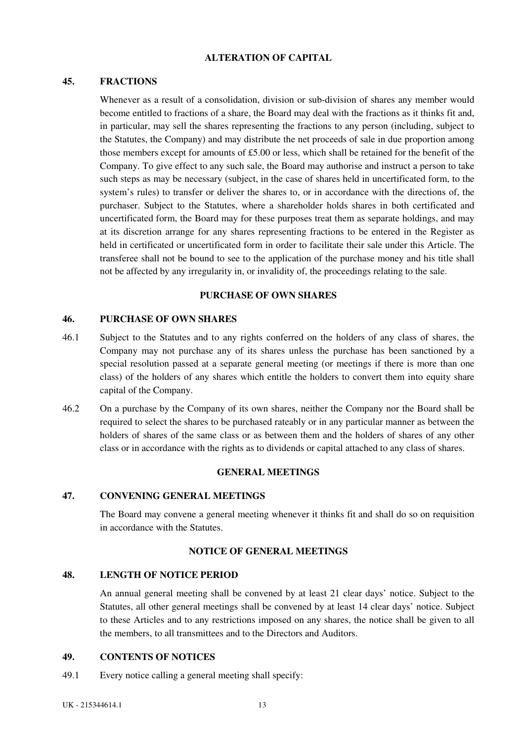### **ALTERATION OF CAPITAL**

### <span id="page-18-0"></span>**45. FRACTIONS**

Whenever as a result of a consolidation, division or sub-division of shares any member would become entitled to fractions of a share, the Board may deal with the fractions as it thinks fit and, in particular, may sell the shares representing the fractions to any person (including, subject to the Statutes, the Company) and may distribute the net proceeds of sale in due proportion among those members except for amounts of £5.00 or less, which shall be retained for the benefit of the Company. To give effect to any such sale, the Board may authorise and instruct a person to take such steps as may be necessary (subject, in the case of shares held in uncertificated form, to the system's rules) to transfer or deliver the shares to, or in accordance with the directions of, the purchaser. Subject to the Statutes, where a shareholder holds shares in both certificated and uncertificated form, the Board may for these purposes treat them as separate holdings, and may at its discretion arrange for any shares representing fractions to be entered in the Register as held in certificated or uncertificated form in order to facilitate their sale under this Article. The transferee shall not be bound to see to the application of the purchase money and his title shall not be affected by any irregularity in, or invalidity of, the proceedings relating to the sale.

## **PURCHASE OF OWN SHARES**

#### **46. PURCHASE OF OWN SHARES**

- 46.1 Subject to the Statutes and to any rights conferred on the holders of any class of shares, the Company may not purchase any of its shares unless the purchase has been sanctioned by a special resolution passed at a separate general meeting (or meetings if there is more than one class) of the holders of any shares which entitle the holders to convert them into equity share capital of the Company.
- 46.2 On a purchase by the Company of its own shares, neither the Company nor the Board shall be required to select the shares to be purchased rateably or in any particular manner as between the holders of shares of the same class or as between them and the holders of shares of any other class or in accordance with the rights as to dividends or capital attached to any class of shares.

#### **GENERAL MEETINGS**

## **47. CONVENING GENERAL MEETINGS**

The Board may convene a general meeting whenever it thinks fit and shall do so on requisition in accordance with the Statutes.

#### **NOTICE OF GENERAL MEETINGS**

#### **48. LENGTH OF NOTICE PERIOD**

An annual general meeting shall be convened by at least 21 clear days' notice. Subject to the Statutes, all other general meetings shall be convened by at least 14 clear days' notice. Subject to these Articles and to any restrictions imposed on any shares, the notice shall be given to all the members, to all transmittees and to the Directors and Auditors.

#### **49. CONTENTS OF NOTICES**

49.1 Every notice calling a general meeting shall specify: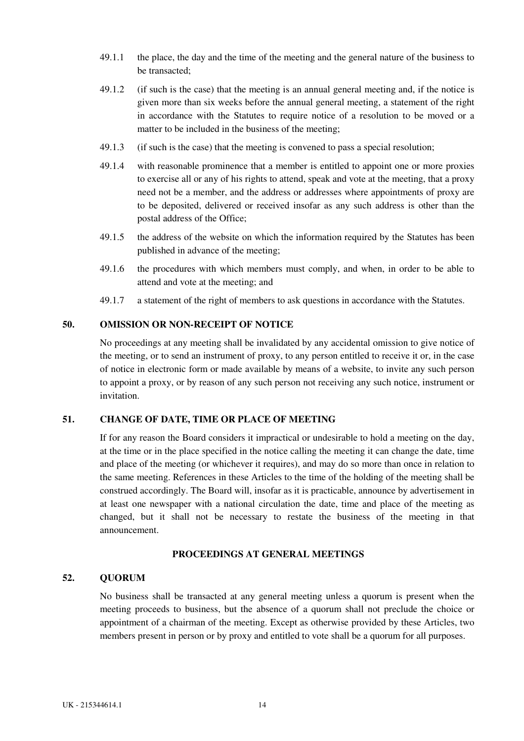- <span id="page-19-0"></span>49.1.1 the place, the day and the time of the meeting and the general nature of the business to be transacted;
- 49.1.2 (if such is the case) that the meeting is an annual general meeting and, if the notice is given more than six weeks before the annual general meeting, a statement of the right in accordance with the Statutes to require notice of a resolution to be moved or a matter to be included in the business of the meeting;
- 49.1.3 (if such is the case) that the meeting is convened to pass a special resolution;
- 49.1.4 with reasonable prominence that a member is entitled to appoint one or more proxies to exercise all or any of his rights to attend, speak and vote at the meeting, that a proxy need not be a member, and the address or addresses where appointments of proxy are to be deposited, delivered or received insofar as any such address is other than the postal address of the Office;
- 49.1.5 the address of the website on which the information required by the Statutes has been published in advance of the meeting;
- 49.1.6 the procedures with which members must comply, and when, in order to be able to attend and vote at the meeting; and
- 49.1.7 a statement of the right of members to ask questions in accordance with the Statutes.

### **50. OMISSION OR NON-RECEIPT OF NOTICE**

No proceedings at any meeting shall be invalidated by any accidental omission to give notice of the meeting, or to send an instrument of proxy, to any person entitled to receive it or, in the case of notice in electronic form or made available by means of a website, to invite any such person to appoint a proxy, or by reason of any such person not receiving any such notice, instrument or invitation.

# **51. CHANGE OF DATE, TIME OR PLACE OF MEETING**

If for any reason the Board considers it impractical or undesirable to hold a meeting on the day, at the time or in the place specified in the notice calling the meeting it can change the date, time and place of the meeting (or whichever it requires), and may do so more than once in relation to the same meeting. References in these Articles to the time of the holding of the meeting shall be construed accordingly. The Board will, insofar as it is practicable, announce by advertisement in at least one newspaper with a national circulation the date, time and place of the meeting as changed, but it shall not be necessary to restate the business of the meeting in that announcement.

# **PROCEEDINGS AT GENERAL MEETINGS**

#### **52. QUORUM**

No business shall be transacted at any general meeting unless a quorum is present when the meeting proceeds to business, but the absence of a quorum shall not preclude the choice or appointment of a chairman of the meeting. Except as otherwise provided by these Articles, two members present in person or by proxy and entitled to vote shall be a quorum for all purposes.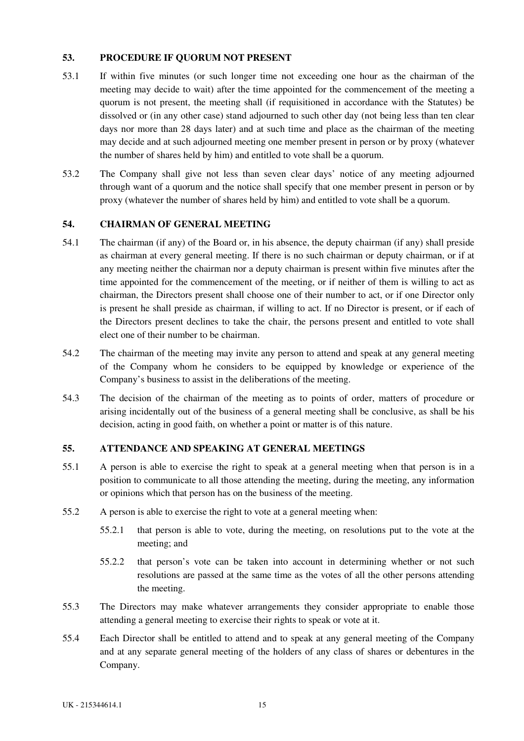## <span id="page-20-0"></span>**53. PROCEDURE IF QUORUM NOT PRESENT**

- 53.1 If within five minutes (or such longer time not exceeding one hour as the chairman of the meeting may decide to wait) after the time appointed for the commencement of the meeting a quorum is not present, the meeting shall (if requisitioned in accordance with the Statutes) be dissolved or (in any other case) stand adjourned to such other day (not being less than ten clear days nor more than 28 days later) and at such time and place as the chairman of the meeting may decide and at such adjourned meeting one member present in person or by proxy (whatever the number of shares held by him) and entitled to vote shall be a quorum.
- 53.2 The Company shall give not less than seven clear days' notice of any meeting adjourned through want of a quorum and the notice shall specify that one member present in person or by proxy (whatever the number of shares held by him) and entitled to vote shall be a quorum.

## **54. CHAIRMAN OF GENERAL MEETING**

- 54.1 The chairman (if any) of the Board or, in his absence, the deputy chairman (if any) shall preside as chairman at every general meeting. If there is no such chairman or deputy chairman, or if at any meeting neither the chairman nor a deputy chairman is present within five minutes after the time appointed for the commencement of the meeting, or if neither of them is willing to act as chairman, the Directors present shall choose one of their number to act, or if one Director only is present he shall preside as chairman, if willing to act. If no Director is present, or if each of the Directors present declines to take the chair, the persons present and entitled to vote shall elect one of their number to be chairman.
- 54.2 The chairman of the meeting may invite any person to attend and speak at any general meeting of the Company whom he considers to be equipped by knowledge or experience of the Company's business to assist in the deliberations of the meeting.
- 54.3 The decision of the chairman of the meeting as to points of order, matters of procedure or arising incidentally out of the business of a general meeting shall be conclusive, as shall be his decision, acting in good faith, on whether a point or matter is of this nature.

## **55. ATTENDANCE AND SPEAKING AT GENERAL MEETINGS**

- 55.1 A person is able to exercise the right to speak at a general meeting when that person is in a position to communicate to all those attending the meeting, during the meeting, any information or opinions which that person has on the business of the meeting.
- 55.2 A person is able to exercise the right to vote at a general meeting when:
	- 55.2.1 that person is able to vote, during the meeting, on resolutions put to the vote at the meeting; and
	- 55.2.2 that person's vote can be taken into account in determining whether or not such resolutions are passed at the same time as the votes of all the other persons attending the meeting.
- 55.3 The Directors may make whatever arrangements they consider appropriate to enable those attending a general meeting to exercise their rights to speak or vote at it.
- 55.4 Each Director shall be entitled to attend and to speak at any general meeting of the Company and at any separate general meeting of the holders of any class of shares or debentures in the Company.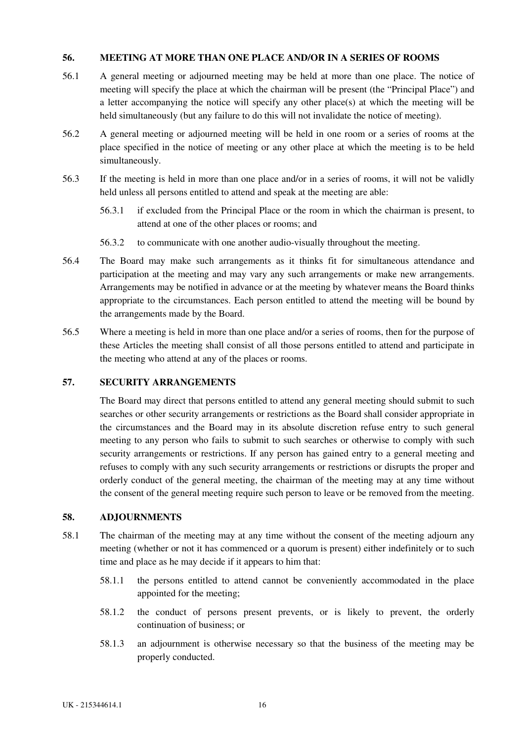## <span id="page-21-0"></span>**56. MEETING AT MORE THAN ONE PLACE AND/OR IN A SERIES OF ROOMS**

- 56.1 A general meeting or adjourned meeting may be held at more than one place. The notice of meeting will specify the place at which the chairman will be present (the "Principal Place") and a letter accompanying the notice will specify any other place(s) at which the meeting will be held simultaneously (but any failure to do this will not invalidate the notice of meeting).
- 56.2 A general meeting or adjourned meeting will be held in one room or a series of rooms at the place specified in the notice of meeting or any other place at which the meeting is to be held simultaneously.
- 56.3 If the meeting is held in more than one place and/or in a series of rooms, it will not be validly held unless all persons entitled to attend and speak at the meeting are able:
	- 56.3.1 if excluded from the Principal Place or the room in which the chairman is present, to attend at one of the other places or rooms; and
	- 56.3.2 to communicate with one another audio-visually throughout the meeting.
- 56.4 The Board may make such arrangements as it thinks fit for simultaneous attendance and participation at the meeting and may vary any such arrangements or make new arrangements. Arrangements may be notified in advance or at the meeting by whatever means the Board thinks appropriate to the circumstances. Each person entitled to attend the meeting will be bound by the arrangements made by the Board.
- 56.5 Where a meeting is held in more than one place and/or a series of rooms, then for the purpose of these Articles the meeting shall consist of all those persons entitled to attend and participate in the meeting who attend at any of the places or rooms.

# **57. SECURITY ARRANGEMENTS**

The Board may direct that persons entitled to attend any general meeting should submit to such searches or other security arrangements or restrictions as the Board shall consider appropriate in the circumstances and the Board may in its absolute discretion refuse entry to such general meeting to any person who fails to submit to such searches or otherwise to comply with such security arrangements or restrictions. If any person has gained entry to a general meeting and refuses to comply with any such security arrangements or restrictions or disrupts the proper and orderly conduct of the general meeting, the chairman of the meeting may at any time without the consent of the general meeting require such person to leave or be removed from the meeting.

## **58. ADJOURNMENTS**

- 58.1 The chairman of the meeting may at any time without the consent of the meeting adjourn any meeting (whether or not it has commenced or a quorum is present) either indefinitely or to such time and place as he may decide if it appears to him that:
	- 58.1.1 the persons entitled to attend cannot be conveniently accommodated in the place appointed for the meeting;
	- 58.1.2 the conduct of persons present prevents, or is likely to prevent, the orderly continuation of business; or
	- 58.1.3 an adjournment is otherwise necessary so that the business of the meeting may be properly conducted.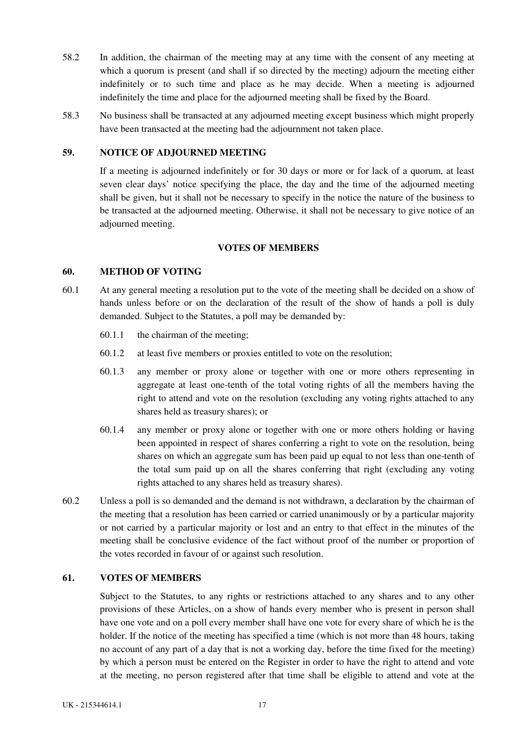- <span id="page-22-0"></span>58.2 In addition, the chairman of the meeting may at any time with the consent of any meeting at which a quorum is present (and shall if so directed by the meeting) adjourn the meeting either indefinitely or to such time and place as he may decide. When a meeting is adjourned indefinitely the time and place for the adjourned meeting shall be fixed by the Board.
- 58.3 No business shall be transacted at any adjourned meeting except business which might properly have been transacted at the meeting had the adjournment not taken place.

## **59. NOTICE OF ADJOURNED MEETING**

If a meeting is adjourned indefinitely or for 30 days or more or for lack of a quorum, at least seven clear days' notice specifying the place, the day and the time of the adjourned meeting shall be given, but it shall not be necessary to specify in the notice the nature of the business to be transacted at the adjourned meeting. Otherwise, it shall not be necessary to give notice of an adjourned meeting.

## **VOTES OF MEMBERS**

#### **60. METHOD OF VOTING**

- 60.1 At any general meeting a resolution put to the vote of the meeting shall be decided on a show of hands unless before or on the declaration of the result of the show of hands a poll is duly demanded. Subject to the Statutes, a poll may be demanded by:
	- 60.1.1 the chairman of the meeting;
	- 60.1.2 at least five members or proxies entitled to vote on the resolution;
	- 60.1.3 any member or proxy alone or together with one or more others representing in aggregate at least one-tenth of the total voting rights of all the members having the right to attend and vote on the resolution (excluding any voting rights attached to any shares held as treasury shares); or
	- 60.1.4 any member or proxy alone or together with one or more others holding or having been appointed in respect of shares conferring a right to vote on the resolution, being shares on which an aggregate sum has been paid up equal to not less than one-tenth of the total sum paid up on all the shares conferring that right (excluding any voting rights attached to any shares held as treasury shares).
- 60.2 Unless a poll is so demanded and the demand is not withdrawn, a declaration by the chairman of the meeting that a resolution has been carried or carried unanimously or by a particular majority or not carried by a particular majority or lost and an entry to that effect in the minutes of the meeting shall be conclusive evidence of the fact without proof of the number or proportion of the votes recorded in favour of or against such resolution.

#### **61. VOTES OF MEMBERS**

Subject to the Statutes, to any rights or restrictions attached to any shares and to any other provisions of these Articles, on a show of hands every member who is present in person shall have one vote and on a poll every member shall have one vote for every share of which he is the holder. If the notice of the meeting has specified a time (which is not more than 48 hours, taking no account of any part of a day that is not a working day, before the time fixed for the meeting) by which a person must be entered on the Register in order to have the right to attend and vote at the meeting, no person registered after that time shall be eligible to attend and vote at the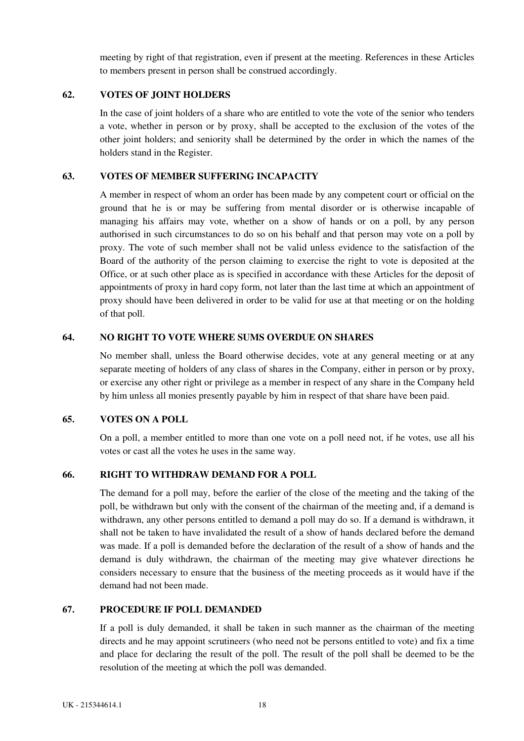meeting by right of that registration, even if present at the meeting. References in these Articles to members present in person shall be construed accordingly.

## <span id="page-23-0"></span>**62. VOTES OF JOINT HOLDERS**

In the case of joint holders of a share who are entitled to vote the vote of the senior who tenders a vote, whether in person or by proxy, shall be accepted to the exclusion of the votes of the other joint holders; and seniority shall be determined by the order in which the names of the holders stand in the Register.

## **63. VOTES OF MEMBER SUFFERING INCAPACITY**

A member in respect of whom an order has been made by any competent court or official on the ground that he is or may be suffering from mental disorder or is otherwise incapable of managing his affairs may vote, whether on a show of hands or on a poll, by any person authorised in such circumstances to do so on his behalf and that person may vote on a poll by proxy. The vote of such member shall not be valid unless evidence to the satisfaction of the Board of the authority of the person claiming to exercise the right to vote is deposited at the Office, or at such other place as is specified in accordance with these Articles for the deposit of appointments of proxy in hard copy form, not later than the last time at which an appointment of proxy should have been delivered in order to be valid for use at that meeting or on the holding of that poll.

## **64. NO RIGHT TO VOTE WHERE SUMS OVERDUE ON SHARES**

No member shall, unless the Board otherwise decides, vote at any general meeting or at any separate meeting of holders of any class of shares in the Company, either in person or by proxy, or exercise any other right or privilege as a member in respect of any share in the Company held by him unless all monies presently payable by him in respect of that share have been paid.

## **65. VOTES ON A POLL**

On a poll, a member entitled to more than one vote on a poll need not, if he votes, use all his votes or cast all the votes he uses in the same way.

## **66. RIGHT TO WITHDRAW DEMAND FOR A POLL**

The demand for a poll may, before the earlier of the close of the meeting and the taking of the poll, be withdrawn but only with the consent of the chairman of the meeting and, if a demand is withdrawn, any other persons entitled to demand a poll may do so. If a demand is withdrawn, it shall not be taken to have invalidated the result of a show of hands declared before the demand was made. If a poll is demanded before the declaration of the result of a show of hands and the demand is duly withdrawn, the chairman of the meeting may give whatever directions he considers necessary to ensure that the business of the meeting proceeds as it would have if the demand had not been made.

## **67. PROCEDURE IF POLL DEMANDED**

If a poll is duly demanded, it shall be taken in such manner as the chairman of the meeting directs and he may appoint scrutineers (who need not be persons entitled to vote) and fix a time and place for declaring the result of the poll. The result of the poll shall be deemed to be the resolution of the meeting at which the poll was demanded.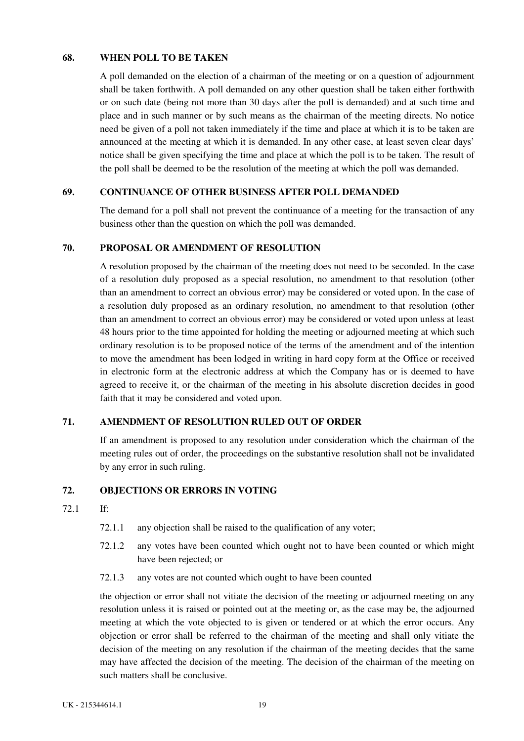## <span id="page-24-0"></span>**68. WHEN POLL TO BE TAKEN**

A poll demanded on the election of a chairman of the meeting or on a question of adjournment shall be taken forthwith. A poll demanded on any other question shall be taken either forthwith or on such date (being not more than 30 days after the poll is demanded) and at such time and place and in such manner or by such means as the chairman of the meeting directs. No notice need be given of a poll not taken immediately if the time and place at which it is to be taken are announced at the meeting at which it is demanded. In any other case, at least seven clear days' notice shall be given specifying the time and place at which the poll is to be taken. The result of the poll shall be deemed to be the resolution of the meeting at which the poll was demanded.

## **69. CONTINUANCE OF OTHER BUSINESS AFTER POLL DEMANDED**

The demand for a poll shall not prevent the continuance of a meeting for the transaction of any business other than the question on which the poll was demanded.

## **70. PROPOSAL OR AMENDMENT OF RESOLUTION**

A resolution proposed by the chairman of the meeting does not need to be seconded. In the case of a resolution duly proposed as a special resolution, no amendment to that resolution (other than an amendment to correct an obvious error) may be considered or voted upon. In the case of a resolution duly proposed as an ordinary resolution, no amendment to that resolution (other than an amendment to correct an obvious error) may be considered or voted upon unless at least 48 hours prior to the time appointed for holding the meeting or adjourned meeting at which such ordinary resolution is to be proposed notice of the terms of the amendment and of the intention to move the amendment has been lodged in writing in hard copy form at the Office or received in electronic form at the electronic address at which the Company has or is deemed to have agreed to receive it, or the chairman of the meeting in his absolute discretion decides in good faith that it may be considered and voted upon.

## **71. AMENDMENT OF RESOLUTION RULED OUT OF ORDER**

If an amendment is proposed to any resolution under consideration which the chairman of the meeting rules out of order, the proceedings on the substantive resolution shall not be invalidated by any error in such ruling.

## **72. OBJECTIONS OR ERRORS IN VOTING**

- 72.1 If:
	- 72.1.1 any objection shall be raised to the qualification of any voter;
	- 72.1.2 any votes have been counted which ought not to have been counted or which might have been rejected; or
	- 72.1.3 any votes are not counted which ought to have been counted

the objection or error shall not vitiate the decision of the meeting or adjourned meeting on any resolution unless it is raised or pointed out at the meeting or, as the case may be, the adjourned meeting at which the vote objected to is given or tendered or at which the error occurs. Any objection or error shall be referred to the chairman of the meeting and shall only vitiate the decision of the meeting on any resolution if the chairman of the meeting decides that the same may have affected the decision of the meeting. The decision of the chairman of the meeting on such matters shall be conclusive.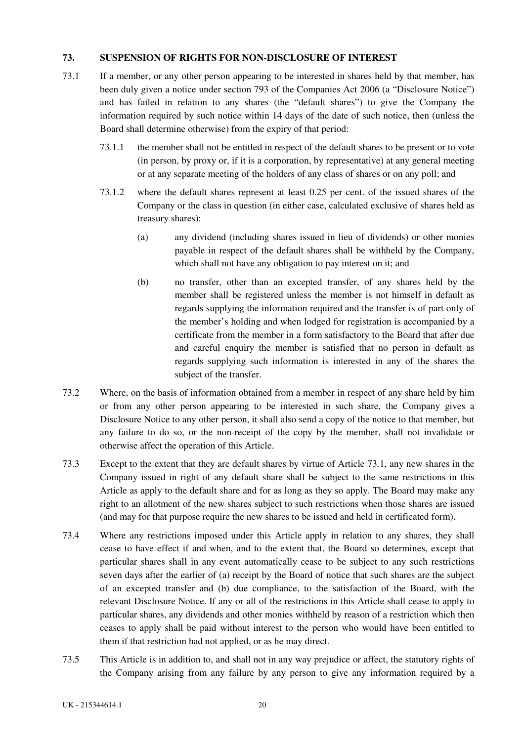## <span id="page-25-0"></span>**73. SUSPENSION OF RIGHTS FOR NON-DISCLOSURE OF INTEREST**

- 73.1 If a member, or any other person appearing to be interested in shares held by that member, has been duly given a notice under section 793 of the Companies Act 2006 (a "Disclosure Notice") and has failed in relation to any shares (the "default shares") to give the Company the information required by such notice within 14 days of the date of such notice, then (unless the Board shall determine otherwise) from the expiry of that period:
	- 73.1.1 the member shall not be entitled in respect of the default shares to be present or to vote (in person, by proxy or, if it is a corporation, by representative) at any general meeting or at any separate meeting of the holders of any class of shares or on any poll; and
	- 73.1.2 where the default shares represent at least 0.25 per cent. of the issued shares of the Company or the class in question (in either case, calculated exclusive of shares held as treasury shares):
		- (a) any dividend (including shares issued in lieu of dividends) or other monies payable in respect of the default shares shall be withheld by the Company, which shall not have any obligation to pay interest on it; and
		- (b) no transfer, other than an excepted transfer, of any shares held by the member shall be registered unless the member is not himself in default as regards supplying the information required and the transfer is of part only of the member's holding and when lodged for registration is accompanied by a certificate from the member in a form satisfactory to the Board that after due and careful enquiry the member is satisfied that no person in default as regards supplying such information is interested in any of the shares the subject of the transfer.
- 73.2 Where, on the basis of information obtained from a member in respect of any share held by him or from any other person appearing to be interested in such share, the Company gives a Disclosure Notice to any other person, it shall also send a copy of the notice to that member, but any failure to do so, or the non-receipt of the copy by the member, shall not invalidate or otherwise affect the operation of this Article.
- 73.3 Except to the extent that they are default shares by virtue of Article 73.1, any new shares in the Company issued in right of any default share shall be subject to the same restrictions in this Article as apply to the default share and for as long as they so apply. The Board may make any right to an allotment of the new shares subject to such restrictions when those shares are issued (and may for that purpose require the new shares to be issued and held in certificated form).
- 73.4 Where any restrictions imposed under this Article apply in relation to any shares, they shall cease to have effect if and when, and to the extent that, the Board so determines, except that particular shares shall in any event automatically cease to be subject to any such restrictions seven days after the earlier of (a) receipt by the Board of notice that such shares are the subject of an excepted transfer and (b) due compliance, to the satisfaction of the Board, with the relevant Disclosure Notice. If any or all of the restrictions in this Article shall cease to apply to particular shares, any dividends and other monies withheld by reason of a restriction which then ceases to apply shall be paid without interest to the person who would have been entitled to them if that restriction had not applied, or as he may direct.
- 73.5 This Article is in addition to, and shall not in any way prejudice or affect, the statutory rights of the Company arising from any failure by any person to give any information required by a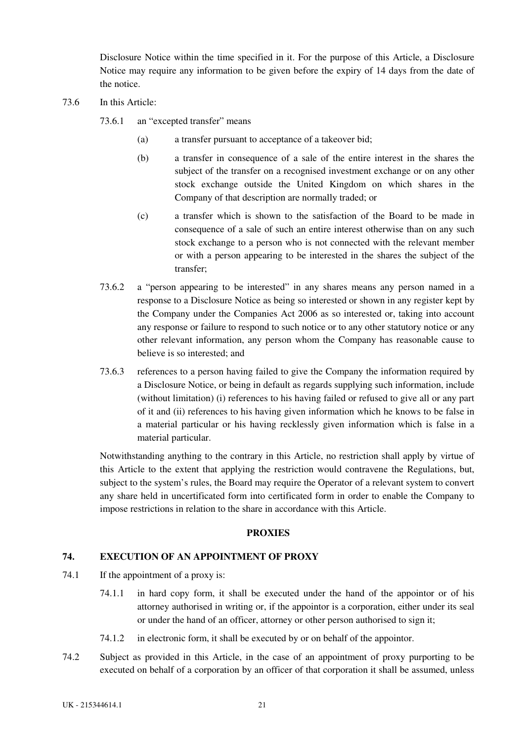<span id="page-26-0"></span>Disclosure Notice within the time specified in it. For the purpose of this Article, a Disclosure Notice may require any information to be given before the expiry of 14 days from the date of the notice.

- 73.6 In this Article:
	- 73.6.1 an "excepted transfer" means
		- (a) a transfer pursuant to acceptance of a takeover bid;
		- (b) a transfer in consequence of a sale of the entire interest in the shares the subject of the transfer on a recognised investment exchange or on any other stock exchange outside the United Kingdom on which shares in the Company of that description are normally traded; or
		- (c) a transfer which is shown to the satisfaction of the Board to be made in consequence of a sale of such an entire interest otherwise than on any such stock exchange to a person who is not connected with the relevant member or with a person appearing to be interested in the shares the subject of the transfer;
	- 73.6.2 a "person appearing to be interested" in any shares means any person named in a response to a Disclosure Notice as being so interested or shown in any register kept by the Company under the Companies Act 2006 as so interested or, taking into account any response or failure to respond to such notice or to any other statutory notice or any other relevant information, any person whom the Company has reasonable cause to believe is so interested; and
	- 73.6.3 references to a person having failed to give the Company the information required by a Disclosure Notice, or being in default as regards supplying such information, include (without limitation) (i) references to his having failed or refused to give all or any part of it and (ii) references to his having given information which he knows to be false in a material particular or his having recklessly given information which is false in a material particular.

Notwithstanding anything to the contrary in this Article, no restriction shall apply by virtue of this Article to the extent that applying the restriction would contravene the Regulations, but, subject to the system's rules, the Board may require the Operator of a relevant system to convert any share held in uncertificated form into certificated form in order to enable the Company to impose restrictions in relation to the share in accordance with this Article.

#### **PROXIES**

# **74. EXECUTION OF AN APPOINTMENT OF PROXY**

- 74.1 If the appointment of a proxy is:
	- 74.1.1 in hard copy form, it shall be executed under the hand of the appointor or of his attorney authorised in writing or, if the appointor is a corporation, either under its seal or under the hand of an officer, attorney or other person authorised to sign it;
	- 74.1.2 in electronic form, it shall be executed by or on behalf of the appointor.
- 74.2 Subject as provided in this Article, in the case of an appointment of proxy purporting to be executed on behalf of a corporation by an officer of that corporation it shall be assumed, unless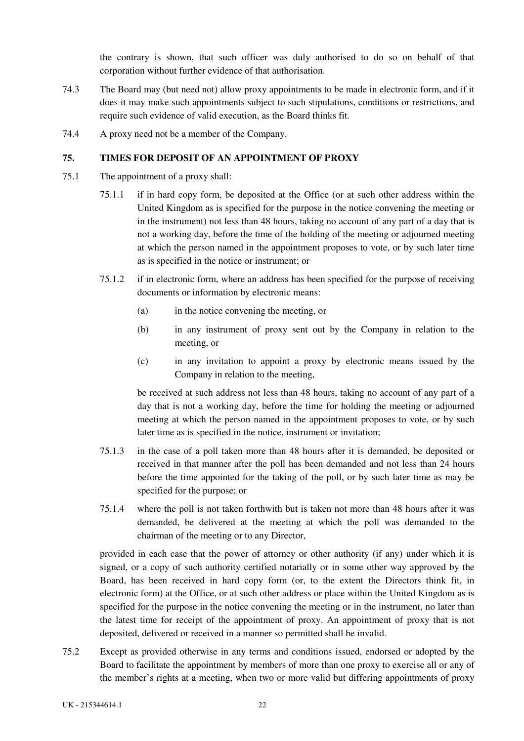the contrary is shown, that such officer was duly authorised to do so on behalf of that corporation without further evidence of that authorisation.

- <span id="page-27-0"></span>74.3 The Board may (but need not) allow proxy appointments to be made in electronic form, and if it does it may make such appointments subject to such stipulations, conditions or restrictions, and require such evidence of valid execution, as the Board thinks fit.
- 74.4 A proxy need not be a member of the Company.

## **75. TIMES FOR DEPOSIT OF AN APPOINTMENT OF PROXY**

- 75.1 The appointment of a proxy shall:
	- 75.1.1 if in hard copy form, be deposited at the Office (or at such other address within the United Kingdom as is specified for the purpose in the notice convening the meeting or in the instrument) not less than 48 hours, taking no account of any part of a day that is not a working day, before the time of the holding of the meeting or adjourned meeting at which the person named in the appointment proposes to vote, or by such later time as is specified in the notice or instrument; or
	- 75.1.2 if in electronic form, where an address has been specified for the purpose of receiving documents or information by electronic means:
		- (a) in the notice convening the meeting, or
		- (b) in any instrument of proxy sent out by the Company in relation to the meeting, or
		- (c) in any invitation to appoint a proxy by electronic means issued by the Company in relation to the meeting,

be received at such address not less than 48 hours, taking no account of any part of a day that is not a working day, before the time for holding the meeting or adjourned meeting at which the person named in the appointment proposes to vote, or by such later time as is specified in the notice, instrument or invitation;

- 75.1.3 in the case of a poll taken more than 48 hours after it is demanded, be deposited or received in that manner after the poll has been demanded and not less than 24 hours before the time appointed for the taking of the poll, or by such later time as may be specified for the purpose; or
- 75.1.4 where the poll is not taken forthwith but is taken not more than 48 hours after it was demanded, be delivered at the meeting at which the poll was demanded to the chairman of the meeting or to any Director,

provided in each case that the power of attorney or other authority (if any) under which it is signed, or a copy of such authority certified notarially or in some other way approved by the Board, has been received in hard copy form (or, to the extent the Directors think fit, in electronic form) at the Office, or at such other address or place within the United Kingdom as is specified for the purpose in the notice convening the meeting or in the instrument, no later than the latest time for receipt of the appointment of proxy. An appointment of proxy that is not deposited, delivered or received in a manner so permitted shall be invalid.

75.2 Except as provided otherwise in any terms and conditions issued, endorsed or adopted by the Board to facilitate the appointment by members of more than one proxy to exercise all or any of the member's rights at a meeting, when two or more valid but differing appointments of proxy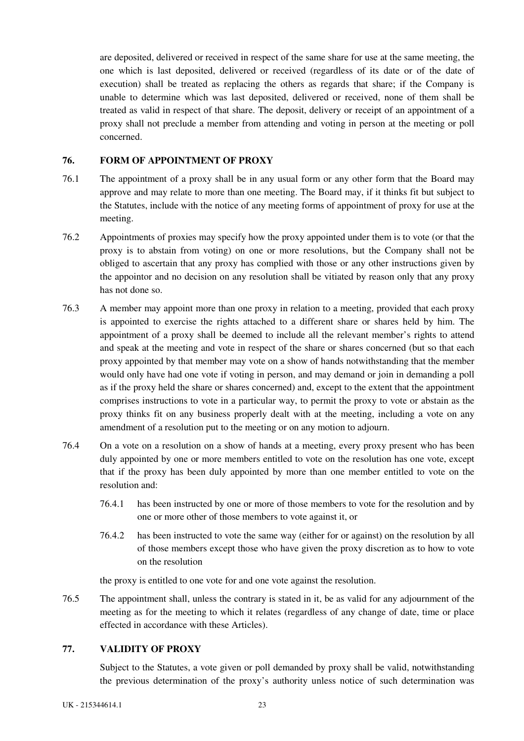<span id="page-28-0"></span>are deposited, delivered or received in respect of the same share for use at the same meeting, the one which is last deposited, delivered or received (regardless of its date or of the date of execution) shall be treated as replacing the others as regards that share; if the Company is unable to determine which was last deposited, delivered or received, none of them shall be treated as valid in respect of that share. The deposit, delivery or receipt of an appointment of a proxy shall not preclude a member from attending and voting in person at the meeting or poll concerned.

### **76. FORM OF APPOINTMENT OF PROXY**

- 76.1 The appointment of a proxy shall be in any usual form or any other form that the Board may approve and may relate to more than one meeting. The Board may, if it thinks fit but subject to the Statutes, include with the notice of any meeting forms of appointment of proxy for use at the meeting.
- 76.2 Appointments of proxies may specify how the proxy appointed under them is to vote (or that the proxy is to abstain from voting) on one or more resolutions, but the Company shall not be obliged to ascertain that any proxy has complied with those or any other instructions given by the appointor and no decision on any resolution shall be vitiated by reason only that any proxy has not done so.
- 76.3 A member may appoint more than one proxy in relation to a meeting, provided that each proxy is appointed to exercise the rights attached to a different share or shares held by him. The appointment of a proxy shall be deemed to include all the relevant member's rights to attend and speak at the meeting and vote in respect of the share or shares concerned (but so that each proxy appointed by that member may vote on a show of hands notwithstanding that the member would only have had one vote if voting in person, and may demand or join in demanding a poll as if the proxy held the share or shares concerned) and, except to the extent that the appointment comprises instructions to vote in a particular way, to permit the proxy to vote or abstain as the proxy thinks fit on any business properly dealt with at the meeting, including a vote on any amendment of a resolution put to the meeting or on any motion to adjourn.
- 76.4 On a vote on a resolution on a show of hands at a meeting, every proxy present who has been duly appointed by one or more members entitled to vote on the resolution has one vote, except that if the proxy has been duly appointed by more than one member entitled to vote on the resolution and:
	- 76.4.1 has been instructed by one or more of those members to vote for the resolution and by one or more other of those members to vote against it, or
	- 76.4.2 has been instructed to vote the same way (either for or against) on the resolution by all of those members except those who have given the proxy discretion as to how to vote on the resolution

the proxy is entitled to one vote for and one vote against the resolution.

76.5 The appointment shall, unless the contrary is stated in it, be as valid for any adjournment of the meeting as for the meeting to which it relates (regardless of any change of date, time or place effected in accordance with these Articles).

## **77. VALIDITY OF PROXY**

Subject to the Statutes, a vote given or poll demanded by proxy shall be valid, notwithstanding the previous determination of the proxy's authority unless notice of such determination was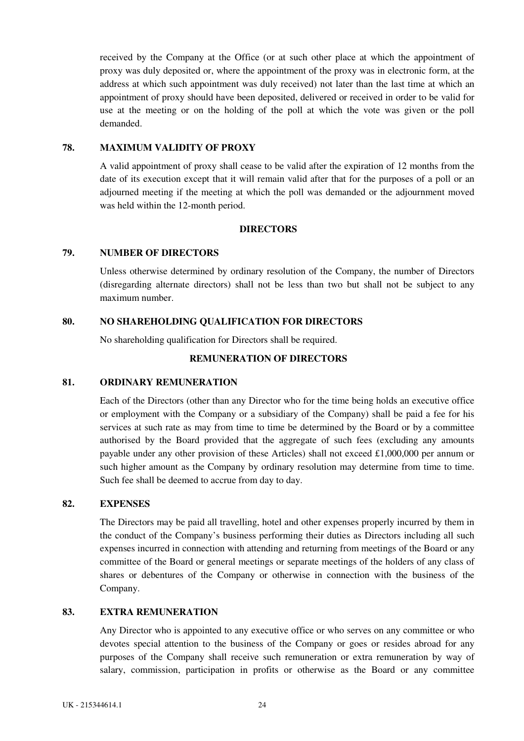<span id="page-29-0"></span>received by the Company at the Office (or at such other place at which the appointment of proxy was duly deposited or, where the appointment of the proxy was in electronic form, at the address at which such appointment was duly received) not later than the last time at which an appointment of proxy should have been deposited, delivered or received in order to be valid for use at the meeting or on the holding of the poll at which the vote was given or the poll demanded.

### **78. MAXIMUM VALIDITY OF PROXY**

A valid appointment of proxy shall cease to be valid after the expiration of 12 months from the date of its execution except that it will remain valid after that for the purposes of a poll or an adjourned meeting if the meeting at which the poll was demanded or the adjournment moved was held within the 12-month period.

## **DIRECTORS**

## **79. NUMBER OF DIRECTORS**

Unless otherwise determined by ordinary resolution of the Company, the number of Directors (disregarding alternate directors) shall not be less than two but shall not be subject to any maximum number.

### **80. NO SHAREHOLDING QUALIFICATION FOR DIRECTORS**

No shareholding qualification for Directors shall be required.

#### **REMUNERATION OF DIRECTORS**

## **81. ORDINARY REMUNERATION**

Each of the Directors (other than any Director who for the time being holds an executive office or employment with the Company or a subsidiary of the Company) shall be paid a fee for his services at such rate as may from time to time be determined by the Board or by a committee authorised by the Board provided that the aggregate of such fees (excluding any amounts payable under any other provision of these Articles) shall not exceed £1,000,000 per annum or such higher amount as the Company by ordinary resolution may determine from time to time. Such fee shall be deemed to accrue from day to day.

#### **82. EXPENSES**

The Directors may be paid all travelling, hotel and other expenses properly incurred by them in the conduct of the Company's business performing their duties as Directors including all such expenses incurred in connection with attending and returning from meetings of the Board or any committee of the Board or general meetings or separate meetings of the holders of any class of shares or debentures of the Company or otherwise in connection with the business of the Company.

### **83. EXTRA REMUNERATION**

Any Director who is appointed to any executive office or who serves on any committee or who devotes special attention to the business of the Company or goes or resides abroad for any purposes of the Company shall receive such remuneration or extra remuneration by way of salary, commission, participation in profits or otherwise as the Board or any committee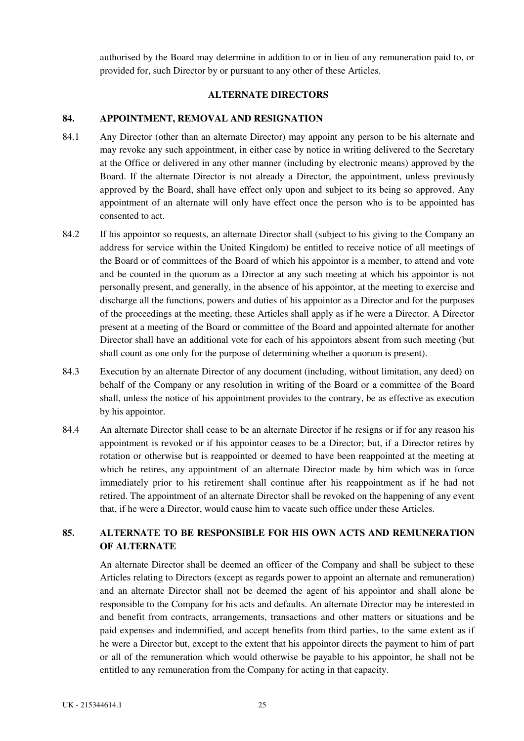<span id="page-30-0"></span>authorised by the Board may determine in addition to or in lieu of any remuneration paid to, or provided for, such Director by or pursuant to any other of these Articles.

## **ALTERNATE DIRECTORS**

# **84. APPOINTMENT, REMOVAL AND RESIGNATION**

- 84.1 Any Director (other than an alternate Director) may appoint any person to be his alternate and may revoke any such appointment, in either case by notice in writing delivered to the Secretary at the Office or delivered in any other manner (including by electronic means) approved by the Board. If the alternate Director is not already a Director, the appointment, unless previously approved by the Board, shall have effect only upon and subject to its being so approved. Any appointment of an alternate will only have effect once the person who is to be appointed has consented to act.
- 84.2 If his appointor so requests, an alternate Director shall (subject to his giving to the Company an address for service within the United Kingdom) be entitled to receive notice of all meetings of the Board or of committees of the Board of which his appointor is a member, to attend and vote and be counted in the quorum as a Director at any such meeting at which his appointor is not personally present, and generally, in the absence of his appointor, at the meeting to exercise and discharge all the functions, powers and duties of his appointor as a Director and for the purposes of the proceedings at the meeting, these Articles shall apply as if he were a Director. A Director present at a meeting of the Board or committee of the Board and appointed alternate for another Director shall have an additional vote for each of his appointors absent from such meeting (but shall count as one only for the purpose of determining whether a quorum is present).
- 84.3 Execution by an alternate Director of any document (including, without limitation, any deed) on behalf of the Company or any resolution in writing of the Board or a committee of the Board shall, unless the notice of his appointment provides to the contrary, be as effective as execution by his appointor.
- 84.4 An alternate Director shall cease to be an alternate Director if he resigns or if for any reason his appointment is revoked or if his appointor ceases to be a Director; but, if a Director retires by rotation or otherwise but is reappointed or deemed to have been reappointed at the meeting at which he retires, any appointment of an alternate Director made by him which was in force immediately prior to his retirement shall continue after his reappointment as if he had not retired. The appointment of an alternate Director shall be revoked on the happening of any event that, if he were a Director, would cause him to vacate such office under these Articles.

# **85. ALTERNATE TO BE RESPONSIBLE FOR HIS OWN ACTS AND REMUNERATION OF ALTERNATE**

An alternate Director shall be deemed an officer of the Company and shall be subject to these Articles relating to Directors (except as regards power to appoint an alternate and remuneration) and an alternate Director shall not be deemed the agent of his appointor and shall alone be responsible to the Company for his acts and defaults. An alternate Director may be interested in and benefit from contracts, arrangements, transactions and other matters or situations and be paid expenses and indemnified, and accept benefits from third parties, to the same extent as if he were a Director but, except to the extent that his appointor directs the payment to him of part or all of the remuneration which would otherwise be payable to his appointor, he shall not be entitled to any remuneration from the Company for acting in that capacity.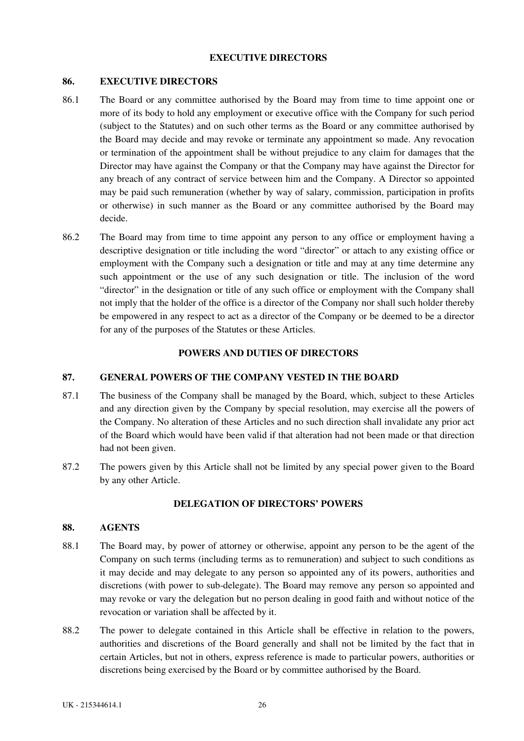## **EXECUTIVE DIRECTORS**

## <span id="page-31-0"></span>**86. EXECUTIVE DIRECTORS**

- 86.1 The Board or any committee authorised by the Board may from time to time appoint one or more of its body to hold any employment or executive office with the Company for such period (subject to the Statutes) and on such other terms as the Board or any committee authorised by the Board may decide and may revoke or terminate any appointment so made. Any revocation or termination of the appointment shall be without prejudice to any claim for damages that the Director may have against the Company or that the Company may have against the Director for any breach of any contract of service between him and the Company. A Director so appointed may be paid such remuneration (whether by way of salary, commission, participation in profits or otherwise) in such manner as the Board or any committee authorised by the Board may decide.
- 86.2 The Board may from time to time appoint any person to any office or employment having a descriptive designation or title including the word "director" or attach to any existing office or employment with the Company such a designation or title and may at any time determine any such appointment or the use of any such designation or title. The inclusion of the word "director" in the designation or title of any such office or employment with the Company shall not imply that the holder of the office is a director of the Company nor shall such holder thereby be empowered in any respect to act as a director of the Company or be deemed to be a director for any of the purposes of the Statutes or these Articles.

## **POWERS AND DUTIES OF DIRECTORS**

## **87. GENERAL POWERS OF THE COMPANY VESTED IN THE BOARD**

- 87.1 The business of the Company shall be managed by the Board, which, subject to these Articles and any direction given by the Company by special resolution, may exercise all the powers of the Company. No alteration of these Articles and no such direction shall invalidate any prior act of the Board which would have been valid if that alteration had not been made or that direction had not been given.
- 87.2 The powers given by this Article shall not be limited by any special power given to the Board by any other Article.

# **DELEGATION OF DIRECTORS' POWERS**

## **88. AGENTS**

- 88.1 The Board may, by power of attorney or otherwise, appoint any person to be the agent of the Company on such terms (including terms as to remuneration) and subject to such conditions as it may decide and may delegate to any person so appointed any of its powers, authorities and discretions (with power to sub-delegate). The Board may remove any person so appointed and may revoke or vary the delegation but no person dealing in good faith and without notice of the revocation or variation shall be affected by it.
- 88.2 The power to delegate contained in this Article shall be effective in relation to the powers, authorities and discretions of the Board generally and shall not be limited by the fact that in certain Articles, but not in others, express reference is made to particular powers, authorities or discretions being exercised by the Board or by committee authorised by the Board.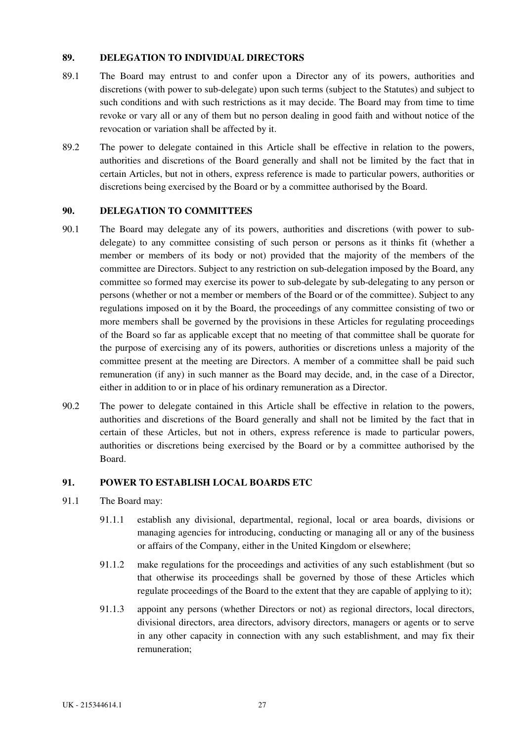## <span id="page-32-0"></span>**89. DELEGATION TO INDIVIDUAL DIRECTORS**

- 89.1 The Board may entrust to and confer upon a Director any of its powers, authorities and discretions (with power to sub-delegate) upon such terms (subject to the Statutes) and subject to such conditions and with such restrictions as it may decide. The Board may from time to time revoke or vary all or any of them but no person dealing in good faith and without notice of the revocation or variation shall be affected by it.
- 89.2 The power to delegate contained in this Article shall be effective in relation to the powers, authorities and discretions of the Board generally and shall not be limited by the fact that in certain Articles, but not in others, express reference is made to particular powers, authorities or discretions being exercised by the Board or by a committee authorised by the Board.

### **90. DELEGATION TO COMMITTEES**

- 90.1 The Board may delegate any of its powers, authorities and discretions (with power to subdelegate) to any committee consisting of such person or persons as it thinks fit (whether a member or members of its body or not) provided that the majority of the members of the committee are Directors. Subject to any restriction on sub-delegation imposed by the Board, any committee so formed may exercise its power to sub-delegate by sub-delegating to any person or persons (whether or not a member or members of the Board or of the committee). Subject to any regulations imposed on it by the Board, the proceedings of any committee consisting of two or more members shall be governed by the provisions in these Articles for regulating proceedings of the Board so far as applicable except that no meeting of that committee shall be quorate for the purpose of exercising any of its powers, authorities or discretions unless a majority of the committee present at the meeting are Directors. A member of a committee shall be paid such remuneration (if any) in such manner as the Board may decide, and, in the case of a Director, either in addition to or in place of his ordinary remuneration as a Director.
- 90.2 The power to delegate contained in this Article shall be effective in relation to the powers, authorities and discretions of the Board generally and shall not be limited by the fact that in certain of these Articles, but not in others, express reference is made to particular powers, authorities or discretions being exercised by the Board or by a committee authorised by the Board.

#### **91. POWER TO ESTABLISH LOCAL BOARDS ETC**

- 91.1 The Board may:
	- 91.1.1 establish any divisional, departmental, regional, local or area boards, divisions or managing agencies for introducing, conducting or managing all or any of the business or affairs of the Company, either in the United Kingdom or elsewhere;
	- 91.1.2 make regulations for the proceedings and activities of any such establishment (but so that otherwise its proceedings shall be governed by those of these Articles which regulate proceedings of the Board to the extent that they are capable of applying to it);
	- 91.1.3 appoint any persons (whether Directors or not) as regional directors, local directors, divisional directors, area directors, advisory directors, managers or agents or to serve in any other capacity in connection with any such establishment, and may fix their remuneration;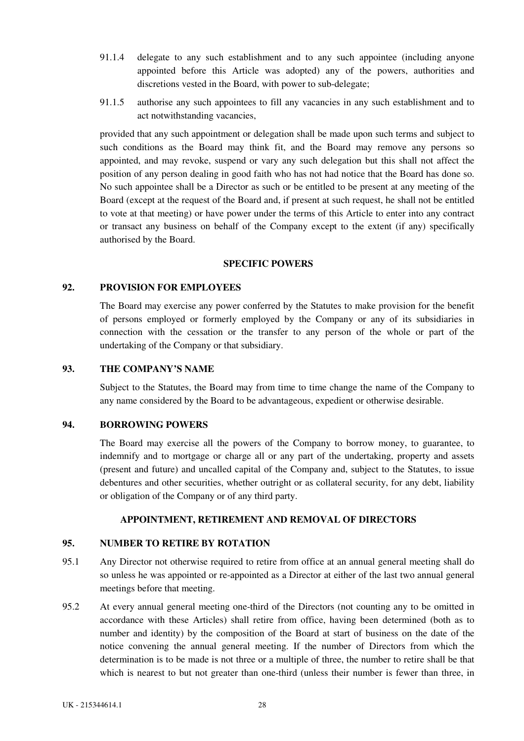- <span id="page-33-0"></span>91.1.4 delegate to any such establishment and to any such appointee (including anyone appointed before this Article was adopted) any of the powers, authorities and discretions vested in the Board, with power to sub-delegate;
- 91.1.5 authorise any such appointees to fill any vacancies in any such establishment and to act notwithstanding vacancies,

provided that any such appointment or delegation shall be made upon such terms and subject to such conditions as the Board may think fit, and the Board may remove any persons so appointed, and may revoke, suspend or vary any such delegation but this shall not affect the position of any person dealing in good faith who has not had notice that the Board has done so. No such appointee shall be a Director as such or be entitled to be present at any meeting of the Board (except at the request of the Board and, if present at such request, he shall not be entitled to vote at that meeting) or have power under the terms of this Article to enter into any contract or transact any business on behalf of the Company except to the extent (if any) specifically authorised by the Board.

#### **SPECIFIC POWERS**

### **92. PROVISION FOR EMPLOYEES**

The Board may exercise any power conferred by the Statutes to make provision for the benefit of persons employed or formerly employed by the Company or any of its subsidiaries in connection with the cessation or the transfer to any person of the whole or part of the undertaking of the Company or that subsidiary.

### **93. THE COMPANY'S NAME**

Subject to the Statutes, the Board may from time to time change the name of the Company to any name considered by the Board to be advantageous, expedient or otherwise desirable.

### **94. BORROWING POWERS**

The Board may exercise all the powers of the Company to borrow money, to guarantee, to indemnify and to mortgage or charge all or any part of the undertaking, property and assets (present and future) and uncalled capital of the Company and, subject to the Statutes, to issue debentures and other securities, whether outright or as collateral security, for any debt, liability or obligation of the Company or of any third party.

## **APPOINTMENT, RETIREMENT AND REMOVAL OF DIRECTORS**

# **95. NUMBER TO RETIRE BY ROTATION**

- 95.1 Any Director not otherwise required to retire from office at an annual general meeting shall do so unless he was appointed or re-appointed as a Director at either of the last two annual general meetings before that meeting.
- 95.2 At every annual general meeting one-third of the Directors (not counting any to be omitted in accordance with these Articles) shall retire from office, having been determined (both as to number and identity) by the composition of the Board at start of business on the date of the notice convening the annual general meeting. If the number of Directors from which the determination is to be made is not three or a multiple of three, the number to retire shall be that which is nearest to but not greater than one-third (unless their number is fewer than three, in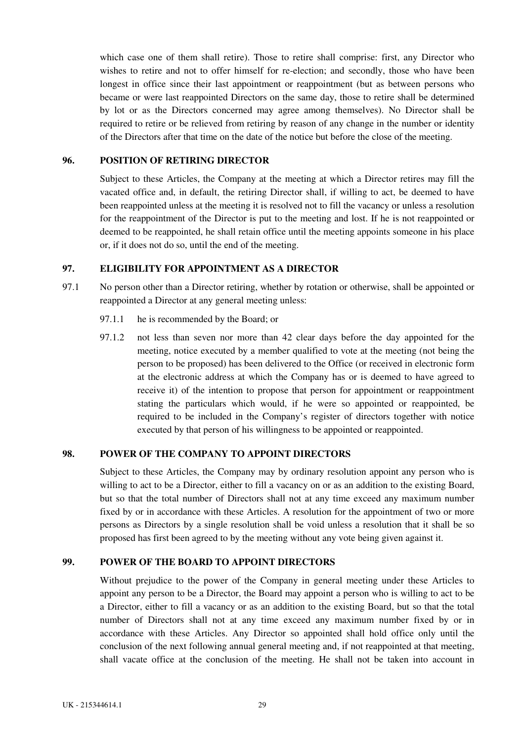<span id="page-34-0"></span>which case one of them shall retire). Those to retire shall comprise: first, any Director who wishes to retire and not to offer himself for re-election; and secondly, those who have been longest in office since their last appointment or reappointment (but as between persons who became or were last reappointed Directors on the same day, those to retire shall be determined by lot or as the Directors concerned may agree among themselves). No Director shall be required to retire or be relieved from retiring by reason of any change in the number or identity of the Directors after that time on the date of the notice but before the close of the meeting.

## **96. POSITION OF RETIRING DIRECTOR**

Subject to these Articles, the Company at the meeting at which a Director retires may fill the vacated office and, in default, the retiring Director shall, if willing to act, be deemed to have been reappointed unless at the meeting it is resolved not to fill the vacancy or unless a resolution for the reappointment of the Director is put to the meeting and lost. If he is not reappointed or deemed to be reappointed, he shall retain office until the meeting appoints someone in his place or, if it does not do so, until the end of the meeting.

# **97. ELIGIBILITY FOR APPOINTMENT AS A DIRECTOR**

- 97.1 No person other than a Director retiring, whether by rotation or otherwise, shall be appointed or reappointed a Director at any general meeting unless:
	- 97.1.1 he is recommended by the Board; or
	- 97.1.2 not less than seven nor more than 42 clear days before the day appointed for the meeting, notice executed by a member qualified to vote at the meeting (not being the person to be proposed) has been delivered to the Office (or received in electronic form at the electronic address at which the Company has or is deemed to have agreed to receive it) of the intention to propose that person for appointment or reappointment stating the particulars which would, if he were so appointed or reappointed, be required to be included in the Company's register of directors together with notice executed by that person of his willingness to be appointed or reappointed.

#### **98. POWER OF THE COMPANY TO APPOINT DIRECTORS**

Subject to these Articles, the Company may by ordinary resolution appoint any person who is willing to act to be a Director, either to fill a vacancy on or as an addition to the existing Board, but so that the total number of Directors shall not at any time exceed any maximum number fixed by or in accordance with these Articles. A resolution for the appointment of two or more persons as Directors by a single resolution shall be void unless a resolution that it shall be so proposed has first been agreed to by the meeting without any vote being given against it.

#### **99. POWER OF THE BOARD TO APPOINT DIRECTORS**

Without prejudice to the power of the Company in general meeting under these Articles to appoint any person to be a Director, the Board may appoint a person who is willing to act to be a Director, either to fill a vacancy or as an addition to the existing Board, but so that the total number of Directors shall not at any time exceed any maximum number fixed by or in accordance with these Articles. Any Director so appointed shall hold office only until the conclusion of the next following annual general meeting and, if not reappointed at that meeting, shall vacate office at the conclusion of the meeting. He shall not be taken into account in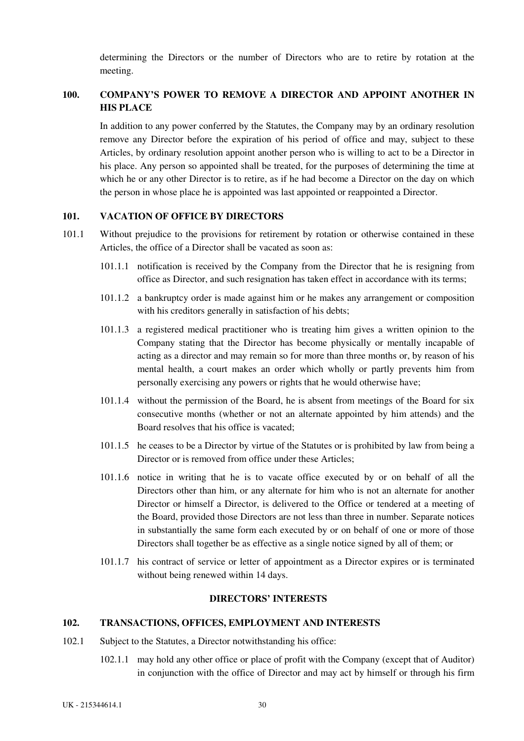determining the Directors or the number of Directors who are to retire by rotation at the meeting.

# <span id="page-35-0"></span>**100. COMPANY'S POWER TO REMOVE A DIRECTOR AND APPOINT ANOTHER IN HIS PLACE**

In addition to any power conferred by the Statutes, the Company may by an ordinary resolution remove any Director before the expiration of his period of office and may, subject to these Articles, by ordinary resolution appoint another person who is willing to act to be a Director in his place. Any person so appointed shall be treated, for the purposes of determining the time at which he or any other Director is to retire, as if he had become a Director on the day on which the person in whose place he is appointed was last appointed or reappointed a Director.

## **101. VACATION OF OFFICE BY DIRECTORS**

- 101.1 Without prejudice to the provisions for retirement by rotation or otherwise contained in these Articles, the office of a Director shall be vacated as soon as:
	- 101.1.1 notification is received by the Company from the Director that he is resigning from office as Director, and such resignation has taken effect in accordance with its terms;
	- 101.1.2 a bankruptcy order is made against him or he makes any arrangement or composition with his creditors generally in satisfaction of his debts;
	- 101.1.3 a registered medical practitioner who is treating him gives a written opinion to the Company stating that the Director has become physically or mentally incapable of acting as a director and may remain so for more than three months or, by reason of his mental health, a court makes an order which wholly or partly prevents him from personally exercising any powers or rights that he would otherwise have;
	- 101.1.4 without the permission of the Board, he is absent from meetings of the Board for six consecutive months (whether or not an alternate appointed by him attends) and the Board resolves that his office is vacated;
	- 101.1.5 he ceases to be a Director by virtue of the Statutes or is prohibited by law from being a Director or is removed from office under these Articles;
	- 101.1.6 notice in writing that he is to vacate office executed by or on behalf of all the Directors other than him, or any alternate for him who is not an alternate for another Director or himself a Director, is delivered to the Office or tendered at a meeting of the Board, provided those Directors are not less than three in number. Separate notices in substantially the same form each executed by or on behalf of one or more of those Directors shall together be as effective as a single notice signed by all of them; or
	- 101.1.7 his contract of service or letter of appointment as a Director expires or is terminated without being renewed within 14 days.

### **DIRECTORS' INTERESTS**

### **102. TRANSACTIONS, OFFICES, EMPLOYMENT AND INTERESTS**

- 102.1 Subject to the Statutes, a Director notwithstanding his office:
	- 102.1.1 may hold any other office or place of profit with the Company (except that of Auditor) in conjunction with the office of Director and may act by himself or through his firm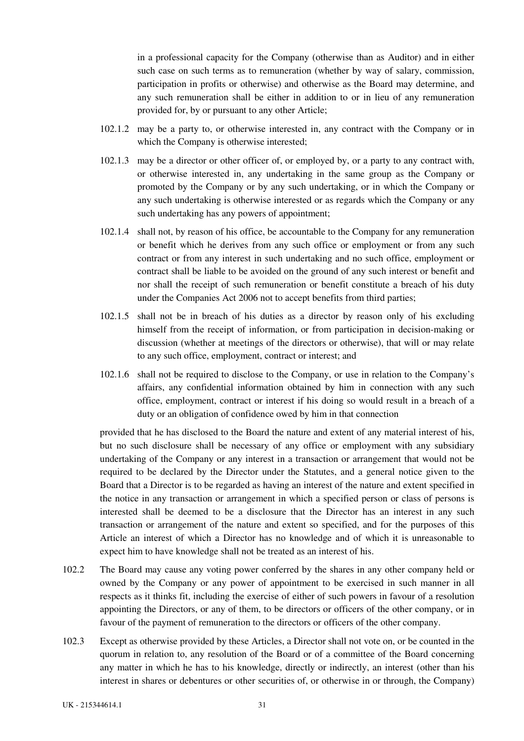in a professional capacity for the Company (otherwise than as Auditor) and in either such case on such terms as to remuneration (whether by way of salary, commission, participation in profits or otherwise) and otherwise as the Board may determine, and any such remuneration shall be either in addition to or in lieu of any remuneration provided for, by or pursuant to any other Article;

- 102.1.2 may be a party to, or otherwise interested in, any contract with the Company or in which the Company is otherwise interested;
- 102.1.3 may be a director or other officer of, or employed by, or a party to any contract with, or otherwise interested in, any undertaking in the same group as the Company or promoted by the Company or by any such undertaking, or in which the Company or any such undertaking is otherwise interested or as regards which the Company or any such undertaking has any powers of appointment;
- 102.1.4 shall not, by reason of his office, be accountable to the Company for any remuneration or benefit which he derives from any such office or employment or from any such contract or from any interest in such undertaking and no such office, employment or contract shall be liable to be avoided on the ground of any such interest or benefit and nor shall the receipt of such remuneration or benefit constitute a breach of his duty under the Companies Act 2006 not to accept benefits from third parties;
- 102.1.5 shall not be in breach of his duties as a director by reason only of his excluding himself from the receipt of information, or from participation in decision-making or discussion (whether at meetings of the directors or otherwise), that will or may relate to any such office, employment, contract or interest; and
- 102.1.6 shall not be required to disclose to the Company, or use in relation to the Company's affairs, any confidential information obtained by him in connection with any such office, employment, contract or interest if his doing so would result in a breach of a duty or an obligation of confidence owed by him in that connection

provided that he has disclosed to the Board the nature and extent of any material interest of his, but no such disclosure shall be necessary of any office or employment with any subsidiary undertaking of the Company or any interest in a transaction or arrangement that would not be required to be declared by the Director under the Statutes, and a general notice given to the Board that a Director is to be regarded as having an interest of the nature and extent specified in the notice in any transaction or arrangement in which a specified person or class of persons is interested shall be deemed to be a disclosure that the Director has an interest in any such transaction or arrangement of the nature and extent so specified, and for the purposes of this Article an interest of which a Director has no knowledge and of which it is unreasonable to expect him to have knowledge shall not be treated as an interest of his.

- 102.2 The Board may cause any voting power conferred by the shares in any other company held or owned by the Company or any power of appointment to be exercised in such manner in all respects as it thinks fit, including the exercise of either of such powers in favour of a resolution appointing the Directors, or any of them, to be directors or officers of the other company, or in favour of the payment of remuneration to the directors or officers of the other company.
- 102.3 Except as otherwise provided by these Articles, a Director shall not vote on, or be counted in the quorum in relation to, any resolution of the Board or of a committee of the Board concerning any matter in which he has to his knowledge, directly or indirectly, an interest (other than his interest in shares or debentures or other securities of, or otherwise in or through, the Company)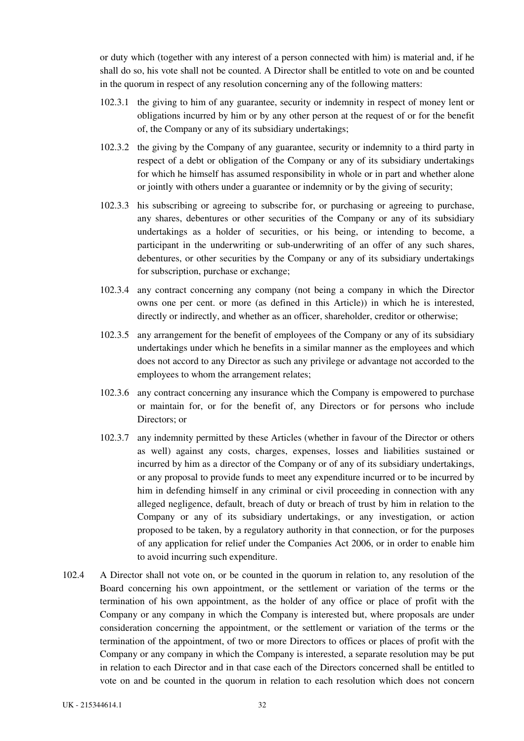or duty which (together with any interest of a person connected with him) is material and, if he shall do so, his vote shall not be counted. A Director shall be entitled to vote on and be counted in the quorum in respect of any resolution concerning any of the following matters:

- 102.3.1 the giving to him of any guarantee, security or indemnity in respect of money lent or obligations incurred by him or by any other person at the request of or for the benefit of, the Company or any of its subsidiary undertakings;
- 102.3.2 the giving by the Company of any guarantee, security or indemnity to a third party in respect of a debt or obligation of the Company or any of its subsidiary undertakings for which he himself has assumed responsibility in whole or in part and whether alone or jointly with others under a guarantee or indemnity or by the giving of security;
- 102.3.3 his subscribing or agreeing to subscribe for, or purchasing or agreeing to purchase, any shares, debentures or other securities of the Company or any of its subsidiary undertakings as a holder of securities, or his being, or intending to become, a participant in the underwriting or sub-underwriting of an offer of any such shares, debentures, or other securities by the Company or any of its subsidiary undertakings for subscription, purchase or exchange;
- 102.3.4 any contract concerning any company (not being a company in which the Director owns one per cent. or more (as defined in this Article)) in which he is interested, directly or indirectly, and whether as an officer, shareholder, creditor or otherwise;
- 102.3.5 any arrangement for the benefit of employees of the Company or any of its subsidiary undertakings under which he benefits in a similar manner as the employees and which does not accord to any Director as such any privilege or advantage not accorded to the employees to whom the arrangement relates;
- 102.3.6 any contract concerning any insurance which the Company is empowered to purchase or maintain for, or for the benefit of, any Directors or for persons who include Directors; or
- 102.3.7 any indemnity permitted by these Articles (whether in favour of the Director or others as well) against any costs, charges, expenses, losses and liabilities sustained or incurred by him as a director of the Company or of any of its subsidiary undertakings, or any proposal to provide funds to meet any expenditure incurred or to be incurred by him in defending himself in any criminal or civil proceeding in connection with any alleged negligence, default, breach of duty or breach of trust by him in relation to the Company or any of its subsidiary undertakings, or any investigation, or action proposed to be taken, by a regulatory authority in that connection, or for the purposes of any application for relief under the Companies Act 2006, or in order to enable him to avoid incurring such expenditure.
- 102.4 A Director shall not vote on, or be counted in the quorum in relation to, any resolution of the Board concerning his own appointment, or the settlement or variation of the terms or the termination of his own appointment, as the holder of any office or place of profit with the Company or any company in which the Company is interested but, where proposals are under consideration concerning the appointment, or the settlement or variation of the terms or the termination of the appointment, of two or more Directors to offices or places of profit with the Company or any company in which the Company is interested, a separate resolution may be put in relation to each Director and in that case each of the Directors concerned shall be entitled to vote on and be counted in the quorum in relation to each resolution which does not concern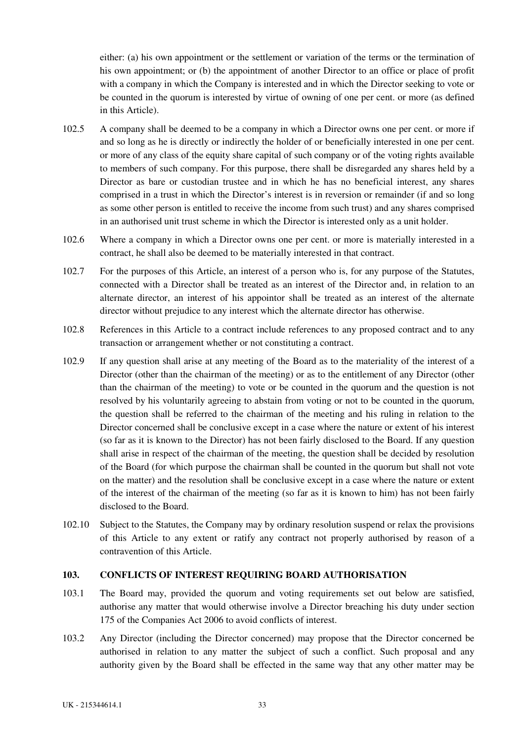<span id="page-38-0"></span>either: (a) his own appointment or the settlement or variation of the terms or the termination of his own appointment; or (b) the appointment of another Director to an office or place of profit with a company in which the Company is interested and in which the Director seeking to vote or be counted in the quorum is interested by virtue of owning of one per cent. or more (as defined in this Article).

- 102.5 A company shall be deemed to be a company in which a Director owns one per cent. or more if and so long as he is directly or indirectly the holder of or beneficially interested in one per cent. or more of any class of the equity share capital of such company or of the voting rights available to members of such company. For this purpose, there shall be disregarded any shares held by a Director as bare or custodian trustee and in which he has no beneficial interest, any shares comprised in a trust in which the Director's interest is in reversion or remainder (if and so long as some other person is entitled to receive the income from such trust) and any shares comprised in an authorised unit trust scheme in which the Director is interested only as a unit holder.
- 102.6 Where a company in which a Director owns one per cent. or more is materially interested in a contract, he shall also be deemed to be materially interested in that contract.
- 102.7 For the purposes of this Article, an interest of a person who is, for any purpose of the Statutes, connected with a Director shall be treated as an interest of the Director and, in relation to an alternate director, an interest of his appointor shall be treated as an interest of the alternate director without prejudice to any interest which the alternate director has otherwise.
- 102.8 References in this Article to a contract include references to any proposed contract and to any transaction or arrangement whether or not constituting a contract.
- 102.9 If any question shall arise at any meeting of the Board as to the materiality of the interest of a Director (other than the chairman of the meeting) or as to the entitlement of any Director (other than the chairman of the meeting) to vote or be counted in the quorum and the question is not resolved by his voluntarily agreeing to abstain from voting or not to be counted in the quorum, the question shall be referred to the chairman of the meeting and his ruling in relation to the Director concerned shall be conclusive except in a case where the nature or extent of his interest (so far as it is known to the Director) has not been fairly disclosed to the Board. If any question shall arise in respect of the chairman of the meeting, the question shall be decided by resolution of the Board (for which purpose the chairman shall be counted in the quorum but shall not vote on the matter) and the resolution shall be conclusive except in a case where the nature or extent of the interest of the chairman of the meeting (so far as it is known to him) has not been fairly disclosed to the Board.
- 102.10 Subject to the Statutes, the Company may by ordinary resolution suspend or relax the provisions of this Article to any extent or ratify any contract not properly authorised by reason of a contravention of this Article.

## **103. CONFLICTS OF INTEREST REQUIRING BOARD AUTHORISATION**

- 103.1 The Board may, provided the quorum and voting requirements set out below are satisfied, authorise any matter that would otherwise involve a Director breaching his duty under section 175 of the Companies Act 2006 to avoid conflicts of interest.
- 103.2 Any Director (including the Director concerned) may propose that the Director concerned be authorised in relation to any matter the subject of such a conflict. Such proposal and any authority given by the Board shall be effected in the same way that any other matter may be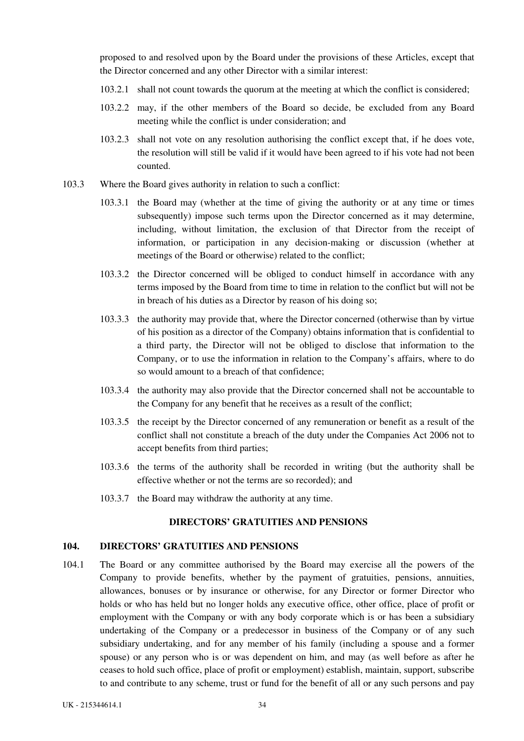<span id="page-39-0"></span>proposed to and resolved upon by the Board under the provisions of these Articles, except that the Director concerned and any other Director with a similar interest:

- 103.2.1 shall not count towards the quorum at the meeting at which the conflict is considered;
- 103.2.2 may, if the other members of the Board so decide, be excluded from any Board meeting while the conflict is under consideration; and
- 103.2.3 shall not vote on any resolution authorising the conflict except that, if he does vote, the resolution will still be valid if it would have been agreed to if his vote had not been counted.
- 103.3 Where the Board gives authority in relation to such a conflict:
	- 103.3.1 the Board may (whether at the time of giving the authority or at any time or times subsequently) impose such terms upon the Director concerned as it may determine, including, without limitation, the exclusion of that Director from the receipt of information, or participation in any decision-making or discussion (whether at meetings of the Board or otherwise) related to the conflict;
	- 103.3.2 the Director concerned will be obliged to conduct himself in accordance with any terms imposed by the Board from time to time in relation to the conflict but will not be in breach of his duties as a Director by reason of his doing so;
	- 103.3.3 the authority may provide that, where the Director concerned (otherwise than by virtue of his position as a director of the Company) obtains information that is confidential to a third party, the Director will not be obliged to disclose that information to the Company, or to use the information in relation to the Company's affairs, where to do so would amount to a breach of that confidence;
	- 103.3.4 the authority may also provide that the Director concerned shall not be accountable to the Company for any benefit that he receives as a result of the conflict;
	- 103.3.5 the receipt by the Director concerned of any remuneration or benefit as a result of the conflict shall not constitute a breach of the duty under the Companies Act 2006 not to accept benefits from third parties;
	- 103.3.6 the terms of the authority shall be recorded in writing (but the authority shall be effective whether or not the terms are so recorded); and
	- 103.3.7 the Board may withdraw the authority at any time.

## **DIRECTORS' GRATUITIES AND PENSIONS**

#### **104. DIRECTORS' GRATUITIES AND PENSIONS**

104.1 The Board or any committee authorised by the Board may exercise all the powers of the Company to provide benefits, whether by the payment of gratuities, pensions, annuities, allowances, bonuses or by insurance or otherwise, for any Director or former Director who holds or who has held but no longer holds any executive office, other office, place of profit or employment with the Company or with any body corporate which is or has been a subsidiary undertaking of the Company or a predecessor in business of the Company or of any such subsidiary undertaking, and for any member of his family (including a spouse and a former spouse) or any person who is or was dependent on him, and may (as well before as after he ceases to hold such office, place of profit or employment) establish, maintain, support, subscribe to and contribute to any scheme, trust or fund for the benefit of all or any such persons and pay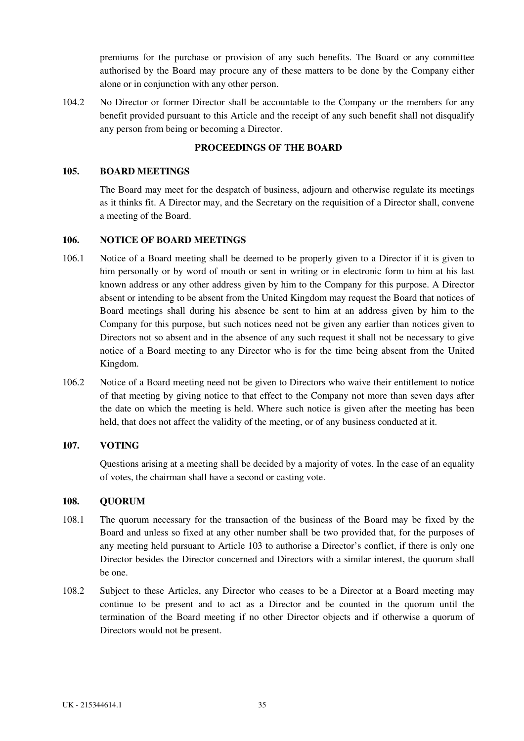<span id="page-40-0"></span>premiums for the purchase or provision of any such benefits. The Board or any committee authorised by the Board may procure any of these matters to be done by the Company either alone or in conjunction with any other person.

104.2 No Director or former Director shall be accountable to the Company or the members for any benefit provided pursuant to this Article and the receipt of any such benefit shall not disqualify any person from being or becoming a Director.

# **PROCEEDINGS OF THE BOARD**

## **105. BOARD MEETINGS**

The Board may meet for the despatch of business, adjourn and otherwise regulate its meetings as it thinks fit. A Director may, and the Secretary on the requisition of a Director shall, convene a meeting of the Board.

### **106. NOTICE OF BOARD MEETINGS**

- 106.1 Notice of a Board meeting shall be deemed to be properly given to a Director if it is given to him personally or by word of mouth or sent in writing or in electronic form to him at his last known address or any other address given by him to the Company for this purpose. A Director absent or intending to be absent from the United Kingdom may request the Board that notices of Board meetings shall during his absence be sent to him at an address given by him to the Company for this purpose, but such notices need not be given any earlier than notices given to Directors not so absent and in the absence of any such request it shall not be necessary to give notice of a Board meeting to any Director who is for the time being absent from the United Kingdom.
- 106.2 Notice of a Board meeting need not be given to Directors who waive their entitlement to notice of that meeting by giving notice to that effect to the Company not more than seven days after the date on which the meeting is held. Where such notice is given after the meeting has been held, that does not affect the validity of the meeting, or of any business conducted at it.

## **107. VOTING**

Questions arising at a meeting shall be decided by a majority of votes. In the case of an equality of votes, the chairman shall have a second or casting vote.

#### **108. QUORUM**

- 108.1 The quorum necessary for the transaction of the business of the Board may be fixed by the Board and unless so fixed at any other number shall be two provided that, for the purposes of any meeting held pursuant to Article 103 to authorise a Director's conflict, if there is only one Director besides the Director concerned and Directors with a similar interest, the quorum shall be one.
- 108.2 Subject to these Articles, any Director who ceases to be a Director at a Board meeting may continue to be present and to act as a Director and be counted in the quorum until the termination of the Board meeting if no other Director objects and if otherwise a quorum of Directors would not be present.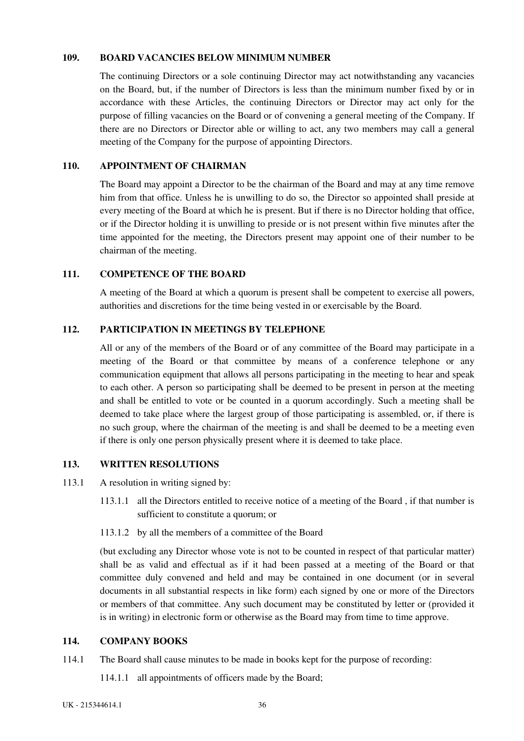### <span id="page-41-0"></span>**109. BOARD VACANCIES BELOW MINIMUM NUMBER**

The continuing Directors or a sole continuing Director may act notwithstanding any vacancies on the Board, but, if the number of Directors is less than the minimum number fixed by or in accordance with these Articles, the continuing Directors or Director may act only for the purpose of filling vacancies on the Board or of convening a general meeting of the Company. If there are no Directors or Director able or willing to act, any two members may call a general meeting of the Company for the purpose of appointing Directors.

## **110. APPOINTMENT OF CHAIRMAN**

The Board may appoint a Director to be the chairman of the Board and may at any time remove him from that office. Unless he is unwilling to do so, the Director so appointed shall preside at every meeting of the Board at which he is present. But if there is no Director holding that office, or if the Director holding it is unwilling to preside or is not present within five minutes after the time appointed for the meeting, the Directors present may appoint one of their number to be chairman of the meeting.

### **111. COMPETENCE OF THE BOARD**

A meeting of the Board at which a quorum is present shall be competent to exercise all powers, authorities and discretions for the time being vested in or exercisable by the Board.

## **112. PARTICIPATION IN MEETINGS BY TELEPHONE**

All or any of the members of the Board or of any committee of the Board may participate in a meeting of the Board or that committee by means of a conference telephone or any communication equipment that allows all persons participating in the meeting to hear and speak to each other. A person so participating shall be deemed to be present in person at the meeting and shall be entitled to vote or be counted in a quorum accordingly. Such a meeting shall be deemed to take place where the largest group of those participating is assembled, or, if there is no such group, where the chairman of the meeting is and shall be deemed to be a meeting even if there is only one person physically present where it is deemed to take place.

## **113. WRITTEN RESOLUTIONS**

- 113.1 A resolution in writing signed by:
	- 113.1.1 all the Directors entitled to receive notice of a meeting of the Board , if that number is sufficient to constitute a quorum; or
	- 113.1.2 by all the members of a committee of the Board

(but excluding any Director whose vote is not to be counted in respect of that particular matter) shall be as valid and effectual as if it had been passed at a meeting of the Board or that committee duly convened and held and may be contained in one document (or in several documents in all substantial respects in like form) each signed by one or more of the Directors or members of that committee. Any such document may be constituted by letter or (provided it is in writing) in electronic form or otherwise as the Board may from time to time approve.

# **114. COMPANY BOOKS**

- 114.1 The Board shall cause minutes to be made in books kept for the purpose of recording:
	- 114.1.1 all appointments of officers made by the Board;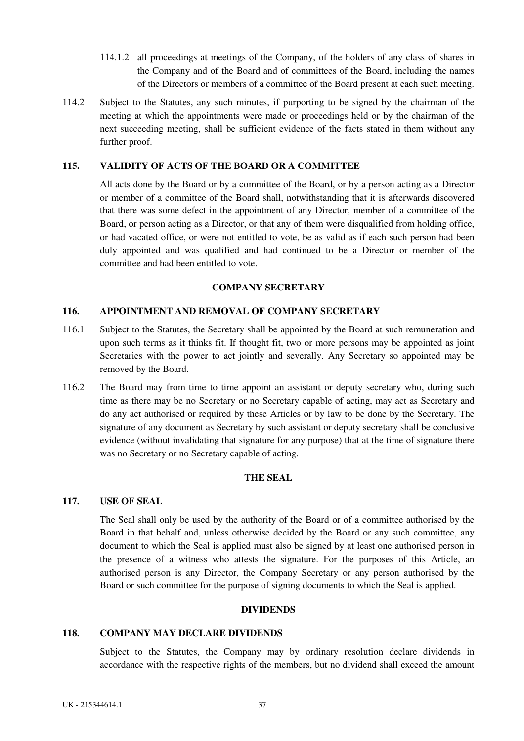- <span id="page-42-0"></span>114.1.2 all proceedings at meetings of the Company, of the holders of any class of shares in the Company and of the Board and of committees of the Board, including the names of the Directors or members of a committee of the Board present at each such meeting.
- 114.2 Subject to the Statutes, any such minutes, if purporting to be signed by the chairman of the meeting at which the appointments were made or proceedings held or by the chairman of the next succeeding meeting, shall be sufficient evidence of the facts stated in them without any further proof.

### **115. VALIDITY OF ACTS OF THE BOARD OR A COMMITTEE**

All acts done by the Board or by a committee of the Board, or by a person acting as a Director or member of a committee of the Board shall, notwithstanding that it is afterwards discovered that there was some defect in the appointment of any Director, member of a committee of the Board, or person acting as a Director, or that any of them were disqualified from holding office, or had vacated office, or were not entitled to vote, be as valid as if each such person had been duly appointed and was qualified and had continued to be a Director or member of the committee and had been entitled to vote.

### **COMPANY SECRETARY**

#### **116. APPOINTMENT AND REMOVAL OF COMPANY SECRETARY**

- 116.1 Subject to the Statutes, the Secretary shall be appointed by the Board at such remuneration and upon such terms as it thinks fit. If thought fit, two or more persons may be appointed as joint Secretaries with the power to act jointly and severally. Any Secretary so appointed may be removed by the Board.
- 116.2 The Board may from time to time appoint an assistant or deputy secretary who, during such time as there may be no Secretary or no Secretary capable of acting, may act as Secretary and do any act authorised or required by these Articles or by law to be done by the Secretary. The signature of any document as Secretary by such assistant or deputy secretary shall be conclusive evidence (without invalidating that signature for any purpose) that at the time of signature there was no Secretary or no Secretary capable of acting.

# **THE SEAL**

#### **117. USE OF SEAL**

The Seal shall only be used by the authority of the Board or of a committee authorised by the Board in that behalf and, unless otherwise decided by the Board or any such committee, any document to which the Seal is applied must also be signed by at least one authorised person in the presence of a witness who attests the signature. For the purposes of this Article, an authorised person is any Director, the Company Secretary or any person authorised by the Board or such committee for the purpose of signing documents to which the Seal is applied.

#### **DIVIDENDS**

#### **118. COMPANY MAY DECLARE DIVIDENDS**

Subject to the Statutes, the Company may by ordinary resolution declare dividends in accordance with the respective rights of the members, but no dividend shall exceed the amount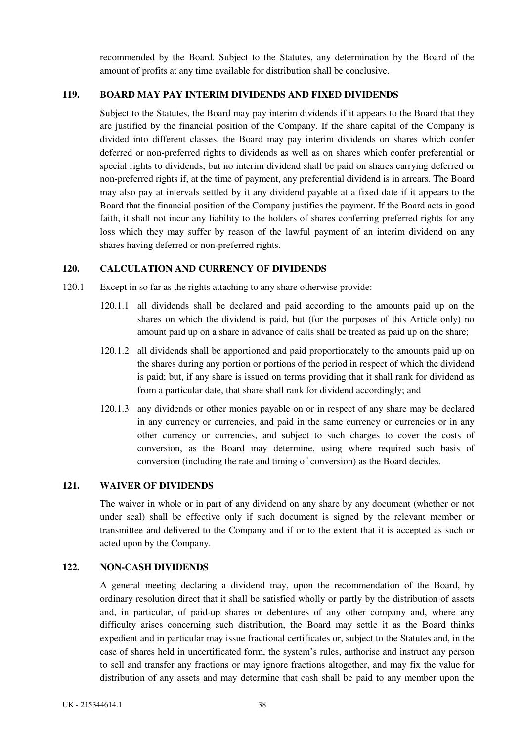recommended by the Board. Subject to the Statutes, any determination by the Board of the amount of profits at any time available for distribution shall be conclusive.

## <span id="page-43-0"></span>**119. BOARD MAY PAY INTERIM DIVIDENDS AND FIXED DIVIDENDS**

Subject to the Statutes, the Board may pay interim dividends if it appears to the Board that they are justified by the financial position of the Company. If the share capital of the Company is divided into different classes, the Board may pay interim dividends on shares which confer deferred or non-preferred rights to dividends as well as on shares which confer preferential or special rights to dividends, but no interim dividend shall be paid on shares carrying deferred or non-preferred rights if, at the time of payment, any preferential dividend is in arrears. The Board may also pay at intervals settled by it any dividend payable at a fixed date if it appears to the Board that the financial position of the Company justifies the payment. If the Board acts in good faith, it shall not incur any liability to the holders of shares conferring preferred rights for any loss which they may suffer by reason of the lawful payment of an interim dividend on any shares having deferred or non-preferred rights.

## **120. CALCULATION AND CURRENCY OF DIVIDENDS**

- 120.1 Except in so far as the rights attaching to any share otherwise provide:
	- 120.1.1 all dividends shall be declared and paid according to the amounts paid up on the shares on which the dividend is paid, but (for the purposes of this Article only) no amount paid up on a share in advance of calls shall be treated as paid up on the share;
	- 120.1.2 all dividends shall be apportioned and paid proportionately to the amounts paid up on the shares during any portion or portions of the period in respect of which the dividend is paid; but, if any share is issued on terms providing that it shall rank for dividend as from a particular date, that share shall rank for dividend accordingly; and
	- 120.1.3 any dividends or other monies payable on or in respect of any share may be declared in any currency or currencies, and paid in the same currency or currencies or in any other currency or currencies, and subject to such charges to cover the costs of conversion, as the Board may determine, using where required such basis of conversion (including the rate and timing of conversion) as the Board decides.

## **121. WAIVER OF DIVIDENDS**

The waiver in whole or in part of any dividend on any share by any document (whether or not under seal) shall be effective only if such document is signed by the relevant member or transmittee and delivered to the Company and if or to the extent that it is accepted as such or acted upon by the Company.

## **122. NON-CASH DIVIDENDS**

A general meeting declaring a dividend may, upon the recommendation of the Board, by ordinary resolution direct that it shall be satisfied wholly or partly by the distribution of assets and, in particular, of paid-up shares or debentures of any other company and, where any difficulty arises concerning such distribution, the Board may settle it as the Board thinks expedient and in particular may issue fractional certificates or, subject to the Statutes and, in the case of shares held in uncertificated form, the system's rules, authorise and instruct any person to sell and transfer any fractions or may ignore fractions altogether, and may fix the value for distribution of any assets and may determine that cash shall be paid to any member upon the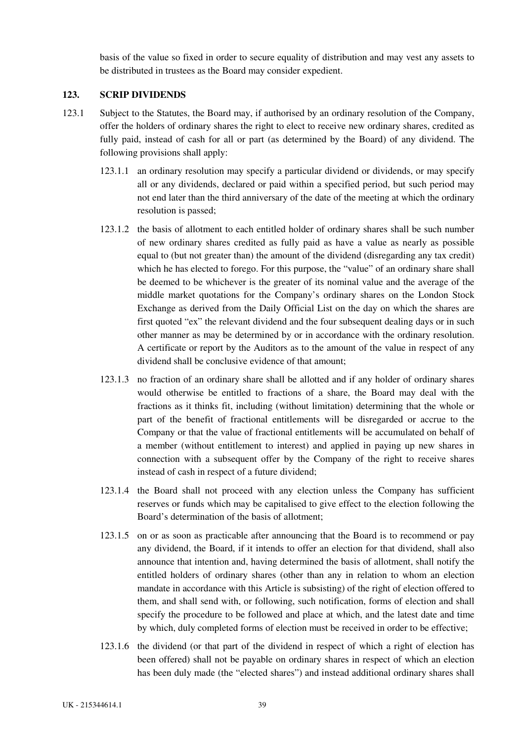basis of the value so fixed in order to secure equality of distribution and may vest any assets to be distributed in trustees as the Board may consider expedient.

## <span id="page-44-0"></span>**123. SCRIP DIVIDENDS**

- 123.1 Subject to the Statutes, the Board may, if authorised by an ordinary resolution of the Company, offer the holders of ordinary shares the right to elect to receive new ordinary shares, credited as fully paid, instead of cash for all or part (as determined by the Board) of any dividend. The following provisions shall apply:
	- 123.1.1 an ordinary resolution may specify a particular dividend or dividends, or may specify all or any dividends, declared or paid within a specified period, but such period may not end later than the third anniversary of the date of the meeting at which the ordinary resolution is passed;
	- 123.1.2 the basis of allotment to each entitled holder of ordinary shares shall be such number of new ordinary shares credited as fully paid as have a value as nearly as possible equal to (but not greater than) the amount of the dividend (disregarding any tax credit) which he has elected to forego. For this purpose, the "value" of an ordinary share shall be deemed to be whichever is the greater of its nominal value and the average of the middle market quotations for the Company's ordinary shares on the London Stock Exchange as derived from the Daily Official List on the day on which the shares are first quoted "ex" the relevant dividend and the four subsequent dealing days or in such other manner as may be determined by or in accordance with the ordinary resolution. A certificate or report by the Auditors as to the amount of the value in respect of any dividend shall be conclusive evidence of that amount;
	- 123.1.3 no fraction of an ordinary share shall be allotted and if any holder of ordinary shares would otherwise be entitled to fractions of a share, the Board may deal with the fractions as it thinks fit, including (without limitation) determining that the whole or part of the benefit of fractional entitlements will be disregarded or accrue to the Company or that the value of fractional entitlements will be accumulated on behalf of a member (without entitlement to interest) and applied in paying up new shares in connection with a subsequent offer by the Company of the right to receive shares instead of cash in respect of a future dividend;
	- 123.1.4 the Board shall not proceed with any election unless the Company has sufficient reserves or funds which may be capitalised to give effect to the election following the Board's determination of the basis of allotment;
	- 123.1.5 on or as soon as practicable after announcing that the Board is to recommend or pay any dividend, the Board, if it intends to offer an election for that dividend, shall also announce that intention and, having determined the basis of allotment, shall notify the entitled holders of ordinary shares (other than any in relation to whom an election mandate in accordance with this Article is subsisting) of the right of election offered to them, and shall send with, or following, such notification, forms of election and shall specify the procedure to be followed and place at which, and the latest date and time by which, duly completed forms of election must be received in order to be effective;
	- 123.1.6 the dividend (or that part of the dividend in respect of which a right of election has been offered) shall not be payable on ordinary shares in respect of which an election has been duly made (the "elected shares") and instead additional ordinary shares shall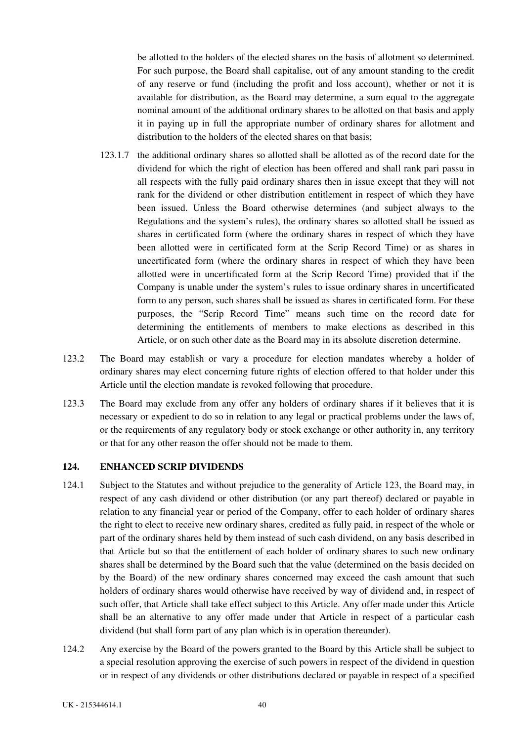<span id="page-45-0"></span>be allotted to the holders of the elected shares on the basis of allotment so determined. For such purpose, the Board shall capitalise, out of any amount standing to the credit of any reserve or fund (including the profit and loss account), whether or not it is available for distribution, as the Board may determine, a sum equal to the aggregate nominal amount of the additional ordinary shares to be allotted on that basis and apply it in paying up in full the appropriate number of ordinary shares for allotment and distribution to the holders of the elected shares on that basis;

- 123.1.7 the additional ordinary shares so allotted shall be allotted as of the record date for the dividend for which the right of election has been offered and shall rank pari passu in all respects with the fully paid ordinary shares then in issue except that they will not rank for the dividend or other distribution entitlement in respect of which they have been issued. Unless the Board otherwise determines (and subject always to the Regulations and the system's rules), the ordinary shares so allotted shall be issued as shares in certificated form (where the ordinary shares in respect of which they have been allotted were in certificated form at the Scrip Record Time) or as shares in uncertificated form (where the ordinary shares in respect of which they have been allotted were in uncertificated form at the Scrip Record Time) provided that if the Company is unable under the system's rules to issue ordinary shares in uncertificated form to any person, such shares shall be issued as shares in certificated form. For these purposes, the "Scrip Record Time" means such time on the record date for determining the entitlements of members to make elections as described in this Article, or on such other date as the Board may in its absolute discretion determine.
- 123.2 The Board may establish or vary a procedure for election mandates whereby a holder of ordinary shares may elect concerning future rights of election offered to that holder under this Article until the election mandate is revoked following that procedure.
- 123.3 The Board may exclude from any offer any holders of ordinary shares if it believes that it is necessary or expedient to do so in relation to any legal or practical problems under the laws of, or the requirements of any regulatory body or stock exchange or other authority in, any territory or that for any other reason the offer should not be made to them.

## **124. ENHANCED SCRIP DIVIDENDS**

- 124.1 Subject to the Statutes and without prejudice to the generality of Article 123, the Board may, in respect of any cash dividend or other distribution (or any part thereof) declared or payable in relation to any financial year or period of the Company, offer to each holder of ordinary shares the right to elect to receive new ordinary shares, credited as fully paid, in respect of the whole or part of the ordinary shares held by them instead of such cash dividend, on any basis described in that Article but so that the entitlement of each holder of ordinary shares to such new ordinary shares shall be determined by the Board such that the value (determined on the basis decided on by the Board) of the new ordinary shares concerned may exceed the cash amount that such holders of ordinary shares would otherwise have received by way of dividend and, in respect of such offer, that Article shall take effect subject to this Article. Any offer made under this Article shall be an alternative to any offer made under that Article in respect of a particular cash dividend (but shall form part of any plan which is in operation thereunder).
- 124.2 Any exercise by the Board of the powers granted to the Board by this Article shall be subject to a special resolution approving the exercise of such powers in respect of the dividend in question or in respect of any dividends or other distributions declared or payable in respect of a specified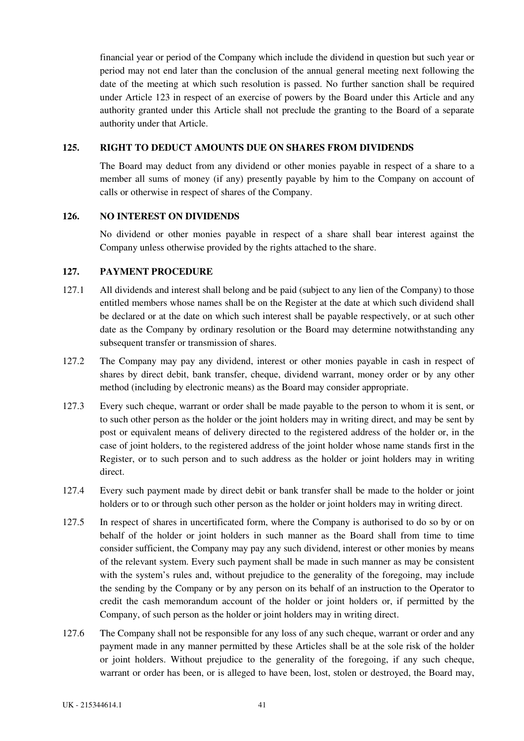<span id="page-46-0"></span>financial year or period of the Company which include the dividend in question but such year or period may not end later than the conclusion of the annual general meeting next following the date of the meeting at which such resolution is passed. No further sanction shall be required under Article 123 in respect of an exercise of powers by the Board under this Article and any authority granted under this Article shall not preclude the granting to the Board of a separate authority under that Article.

## **125. RIGHT TO DEDUCT AMOUNTS DUE ON SHARES FROM DIVIDENDS**

The Board may deduct from any dividend or other monies payable in respect of a share to a member all sums of money (if any) presently payable by him to the Company on account of calls or otherwise in respect of shares of the Company.

### **126. NO INTEREST ON DIVIDENDS**

No dividend or other monies payable in respect of a share shall bear interest against the Company unless otherwise provided by the rights attached to the share.

## **127. PAYMENT PROCEDURE**

- 127.1 All dividends and interest shall belong and be paid (subject to any lien of the Company) to those entitled members whose names shall be on the Register at the date at which such dividend shall be declared or at the date on which such interest shall be payable respectively, or at such other date as the Company by ordinary resolution or the Board may determine notwithstanding any subsequent transfer or transmission of shares.
- 127.2 The Company may pay any dividend, interest or other monies payable in cash in respect of shares by direct debit, bank transfer, cheque, dividend warrant, money order or by any other method (including by electronic means) as the Board may consider appropriate.
- 127.3 Every such cheque, warrant or order shall be made payable to the person to whom it is sent, or to such other person as the holder or the joint holders may in writing direct, and may be sent by post or equivalent means of delivery directed to the registered address of the holder or, in the case of joint holders, to the registered address of the joint holder whose name stands first in the Register, or to such person and to such address as the holder or joint holders may in writing direct.
- 127.4 Every such payment made by direct debit or bank transfer shall be made to the holder or joint holders or to or through such other person as the holder or joint holders may in writing direct.
- 127.5 In respect of shares in uncertificated form, where the Company is authorised to do so by or on behalf of the holder or joint holders in such manner as the Board shall from time to time consider sufficient, the Company may pay any such dividend, interest or other monies by means of the relevant system. Every such payment shall be made in such manner as may be consistent with the system's rules and, without prejudice to the generality of the foregoing, may include the sending by the Company or by any person on its behalf of an instruction to the Operator to credit the cash memorandum account of the holder or joint holders or, if permitted by the Company, of such person as the holder or joint holders may in writing direct.
- 127.6 The Company shall not be responsible for any loss of any such cheque, warrant or order and any payment made in any manner permitted by these Articles shall be at the sole risk of the holder or joint holders. Without prejudice to the generality of the foregoing, if any such cheque, warrant or order has been, or is alleged to have been, lost, stolen or destroyed, the Board may,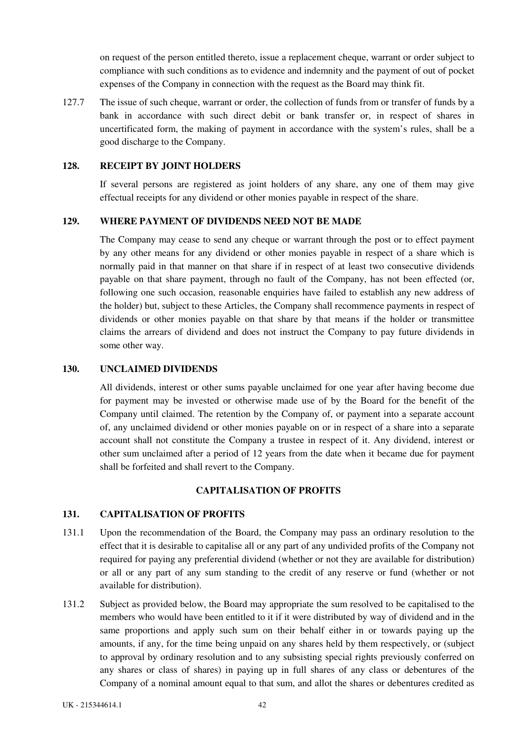<span id="page-47-0"></span>on request of the person entitled thereto, issue a replacement cheque, warrant or order subject to compliance with such conditions as to evidence and indemnity and the payment of out of pocket expenses of the Company in connection with the request as the Board may think fit.

127.7 The issue of such cheque, warrant or order, the collection of funds from or transfer of funds by a bank in accordance with such direct debit or bank transfer or, in respect of shares in uncertificated form, the making of payment in accordance with the system's rules, shall be a good discharge to the Company.

### **128. RECEIPT BY JOINT HOLDERS**

If several persons are registered as joint holders of any share, any one of them may give effectual receipts for any dividend or other monies payable in respect of the share.

### **129. WHERE PAYMENT OF DIVIDENDS NEED NOT BE MADE**

The Company may cease to send any cheque or warrant through the post or to effect payment by any other means for any dividend or other monies payable in respect of a share which is normally paid in that manner on that share if in respect of at least two consecutive dividends payable on that share payment, through no fault of the Company, has not been effected (or, following one such occasion, reasonable enquiries have failed to establish any new address of the holder) but, subject to these Articles, the Company shall recommence payments in respect of dividends or other monies payable on that share by that means if the holder or transmittee claims the arrears of dividend and does not instruct the Company to pay future dividends in some other way.

### **130. UNCLAIMED DIVIDENDS**

All dividends, interest or other sums payable unclaimed for one year after having become due for payment may be invested or otherwise made use of by the Board for the benefit of the Company until claimed. The retention by the Company of, or payment into a separate account of, any unclaimed dividend or other monies payable on or in respect of a share into a separate account shall not constitute the Company a trustee in respect of it. Any dividend, interest or other sum unclaimed after a period of 12 years from the date when it became due for payment shall be forfeited and shall revert to the Company.

#### **CAPITALISATION OF PROFITS**

# **131. CAPITALISATION OF PROFITS**

- 131.1 Upon the recommendation of the Board, the Company may pass an ordinary resolution to the effect that it is desirable to capitalise all or any part of any undivided profits of the Company not required for paying any preferential dividend (whether or not they are available for distribution) or all or any part of any sum standing to the credit of any reserve or fund (whether or not available for distribution).
- 131.2 Subject as provided below, the Board may appropriate the sum resolved to be capitalised to the members who would have been entitled to it if it were distributed by way of dividend and in the same proportions and apply such sum on their behalf either in or towards paying up the amounts, if any, for the time being unpaid on any shares held by them respectively, or (subject to approval by ordinary resolution and to any subsisting special rights previously conferred on any shares or class of shares) in paying up in full shares of any class or debentures of the Company of a nominal amount equal to that sum, and allot the shares or debentures credited as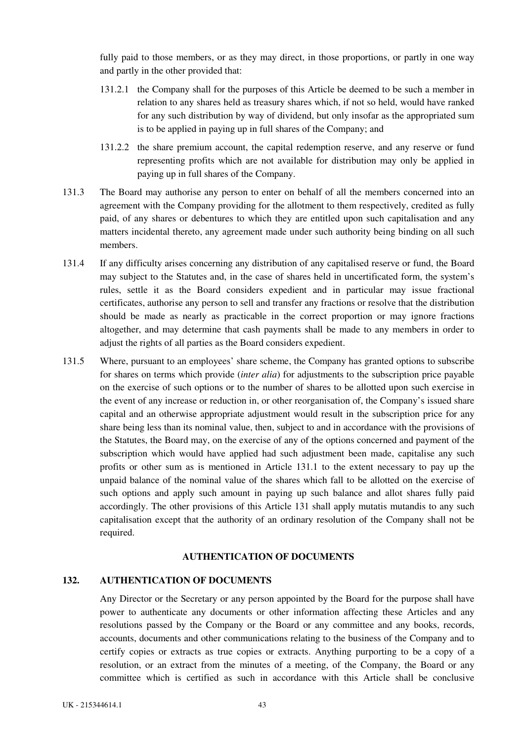<span id="page-48-0"></span>fully paid to those members, or as they may direct, in those proportions, or partly in one way and partly in the other provided that:

- 131.2.1 the Company shall for the purposes of this Article be deemed to be such a member in relation to any shares held as treasury shares which, if not so held, would have ranked for any such distribution by way of dividend, but only insofar as the appropriated sum is to be applied in paying up in full shares of the Company; and
- 131.2.2 the share premium account, the capital redemption reserve, and any reserve or fund representing profits which are not available for distribution may only be applied in paying up in full shares of the Company.
- 131.3 The Board may authorise any person to enter on behalf of all the members concerned into an agreement with the Company providing for the allotment to them respectively, credited as fully paid, of any shares or debentures to which they are entitled upon such capitalisation and any matters incidental thereto, any agreement made under such authority being binding on all such members.
- 131.4 If any difficulty arises concerning any distribution of any capitalised reserve or fund, the Board may subject to the Statutes and, in the case of shares held in uncertificated form, the system's rules, settle it as the Board considers expedient and in particular may issue fractional certificates, authorise any person to sell and transfer any fractions or resolve that the distribution should be made as nearly as practicable in the correct proportion or may ignore fractions altogether, and may determine that cash payments shall be made to any members in order to adjust the rights of all parties as the Board considers expedient.
- 131.5 Where, pursuant to an employees' share scheme, the Company has granted options to subscribe for shares on terms which provide (*inter alia*) for adjustments to the subscription price payable on the exercise of such options or to the number of shares to be allotted upon such exercise in the event of any increase or reduction in, or other reorganisation of, the Company's issued share capital and an otherwise appropriate adjustment would result in the subscription price for any share being less than its nominal value, then, subject to and in accordance with the provisions of the Statutes, the Board may, on the exercise of any of the options concerned and payment of the subscription which would have applied had such adjustment been made, capitalise any such profits or other sum as is mentioned in Article 131.1 to the extent necessary to pay up the unpaid balance of the nominal value of the shares which fall to be allotted on the exercise of such options and apply such amount in paying up such balance and allot shares fully paid accordingly. The other provisions of this Article 131 shall apply mutatis mutandis to any such capitalisation except that the authority of an ordinary resolution of the Company shall not be required.

## **AUTHENTICATION OF DOCUMENTS**

## **132. AUTHENTICATION OF DOCUMENTS**

Any Director or the Secretary or any person appointed by the Board for the purpose shall have power to authenticate any documents or other information affecting these Articles and any resolutions passed by the Company or the Board or any committee and any books, records, accounts, documents and other communications relating to the business of the Company and to certify copies or extracts as true copies or extracts. Anything purporting to be a copy of a resolution, or an extract from the minutes of a meeting, of the Company, the Board or any committee which is certified as such in accordance with this Article shall be conclusive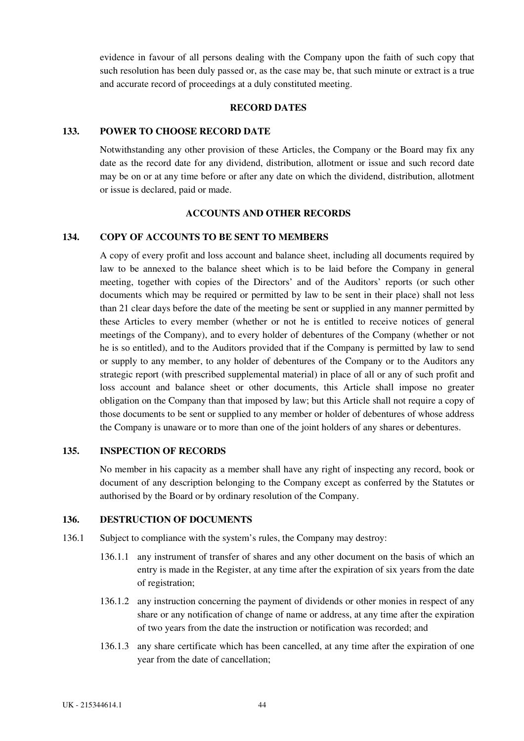<span id="page-49-0"></span>evidence in favour of all persons dealing with the Company upon the faith of such copy that such resolution has been duly passed or, as the case may be, that such minute or extract is a true and accurate record of proceedings at a duly constituted meeting.

### **RECORD DATES**

#### **133. POWER TO CHOOSE RECORD DATE**

Notwithstanding any other provision of these Articles, the Company or the Board may fix any date as the record date for any dividend, distribution, allotment or issue and such record date may be on or at any time before or after any date on which the dividend, distribution, allotment or issue is declared, paid or made.

### **ACCOUNTS AND OTHER RECORDS**

## **134. COPY OF ACCOUNTS TO BE SENT TO MEMBERS**

A copy of every profit and loss account and balance sheet, including all documents required by law to be annexed to the balance sheet which is to be laid before the Company in general meeting, together with copies of the Directors' and of the Auditors' reports (or such other documents which may be required or permitted by law to be sent in their place) shall not less than 21 clear days before the date of the meeting be sent or supplied in any manner permitted by these Articles to every member (whether or not he is entitled to receive notices of general meetings of the Company), and to every holder of debentures of the Company (whether or not he is so entitled), and to the Auditors provided that if the Company is permitted by law to send or supply to any member, to any holder of debentures of the Company or to the Auditors any strategic report (with prescribed supplemental material) in place of all or any of such profit and loss account and balance sheet or other documents, this Article shall impose no greater obligation on the Company than that imposed by law; but this Article shall not require a copy of those documents to be sent or supplied to any member or holder of debentures of whose address the Company is unaware or to more than one of the joint holders of any shares or debentures.

### **135. INSPECTION OF RECORDS**

No member in his capacity as a member shall have any right of inspecting any record, book or document of any description belonging to the Company except as conferred by the Statutes or authorised by the Board or by ordinary resolution of the Company.

### **136. DESTRUCTION OF DOCUMENTS**

- 136.1 Subject to compliance with the system's rules, the Company may destroy:
	- 136.1.1 any instrument of transfer of shares and any other document on the basis of which an entry is made in the Register, at any time after the expiration of six years from the date of registration;
	- 136.1.2 any instruction concerning the payment of dividends or other monies in respect of any share or any notification of change of name or address, at any time after the expiration of two years from the date the instruction or notification was recorded; and
	- 136.1.3 any share certificate which has been cancelled, at any time after the expiration of one year from the date of cancellation;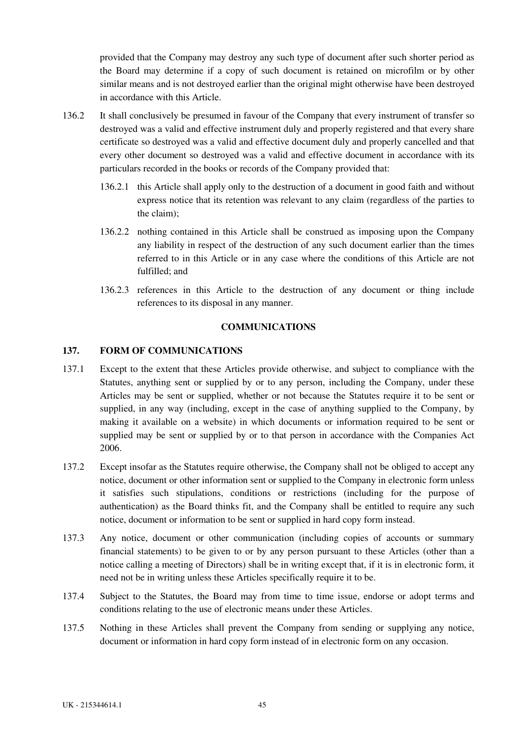<span id="page-50-0"></span>provided that the Company may destroy any such type of document after such shorter period as the Board may determine if a copy of such document is retained on microfilm or by other similar means and is not destroyed earlier than the original might otherwise have been destroyed in accordance with this Article.

- 136.2 It shall conclusively be presumed in favour of the Company that every instrument of transfer so destroyed was a valid and effective instrument duly and properly registered and that every share certificate so destroyed was a valid and effective document duly and properly cancelled and that every other document so destroyed was a valid and effective document in accordance with its particulars recorded in the books or records of the Company provided that:
	- 136.2.1 this Article shall apply only to the destruction of a document in good faith and without express notice that its retention was relevant to any claim (regardless of the parties to the claim);
	- 136.2.2 nothing contained in this Article shall be construed as imposing upon the Company any liability in respect of the destruction of any such document earlier than the times referred to in this Article or in any case where the conditions of this Article are not fulfilled; and
	- 136.2.3 references in this Article to the destruction of any document or thing include references to its disposal in any manner.

## **COMMUNICATIONS**

## **137. FORM OF COMMUNICATIONS**

- 137.1 Except to the extent that these Articles provide otherwise, and subject to compliance with the Statutes, anything sent or supplied by or to any person, including the Company, under these Articles may be sent or supplied, whether or not because the Statutes require it to be sent or supplied, in any way (including, except in the case of anything supplied to the Company, by making it available on a website) in which documents or information required to be sent or supplied may be sent or supplied by or to that person in accordance with the Companies Act 2006.
- 137.2 Except insofar as the Statutes require otherwise, the Company shall not be obliged to accept any notice, document or other information sent or supplied to the Company in electronic form unless it satisfies such stipulations, conditions or restrictions (including for the purpose of authentication) as the Board thinks fit, and the Company shall be entitled to require any such notice, document or information to be sent or supplied in hard copy form instead.
- 137.3 Any notice, document or other communication (including copies of accounts or summary financial statements) to be given to or by any person pursuant to these Articles (other than a notice calling a meeting of Directors) shall be in writing except that, if it is in electronic form, it need not be in writing unless these Articles specifically require it to be.
- 137.4 Subject to the Statutes, the Board may from time to time issue, endorse or adopt terms and conditions relating to the use of electronic means under these Articles.
- 137.5 Nothing in these Articles shall prevent the Company from sending or supplying any notice, document or information in hard copy form instead of in electronic form on any occasion.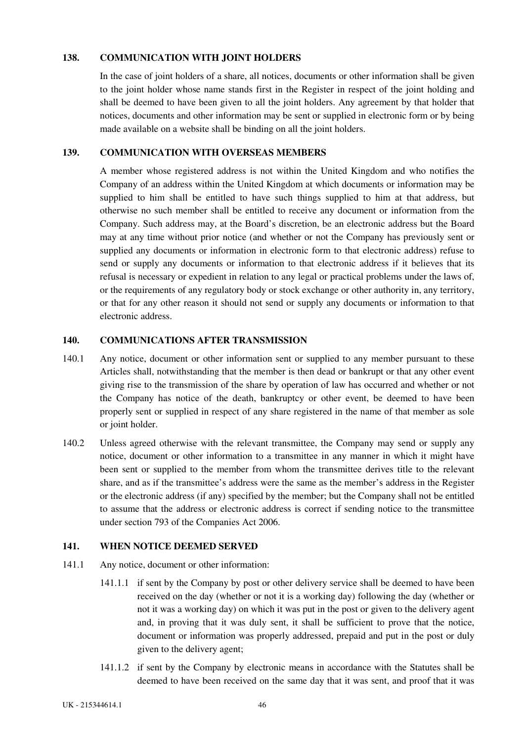## <span id="page-51-0"></span>**138. COMMUNICATION WITH JOINT HOLDERS**

In the case of joint holders of a share, all notices, documents or other information shall be given to the joint holder whose name stands first in the Register in respect of the joint holding and shall be deemed to have been given to all the joint holders. Any agreement by that holder that notices, documents and other information may be sent or supplied in electronic form or by being made available on a website shall be binding on all the joint holders.

## **139. COMMUNICATION WITH OVERSEAS MEMBERS**

A member whose registered address is not within the United Kingdom and who notifies the Company of an address within the United Kingdom at which documents or information may be supplied to him shall be entitled to have such things supplied to him at that address, but otherwise no such member shall be entitled to receive any document or information from the Company. Such address may, at the Board's discretion, be an electronic address but the Board may at any time without prior notice (and whether or not the Company has previously sent or supplied any documents or information in electronic form to that electronic address) refuse to send or supply any documents or information to that electronic address if it believes that its refusal is necessary or expedient in relation to any legal or practical problems under the laws of, or the requirements of any regulatory body or stock exchange or other authority in, any territory, or that for any other reason it should not send or supply any documents or information to that electronic address.

## **140. COMMUNICATIONS AFTER TRANSMISSION**

- 140.1 Any notice, document or other information sent or supplied to any member pursuant to these Articles shall, notwithstanding that the member is then dead or bankrupt or that any other event giving rise to the transmission of the share by operation of law has occurred and whether or not the Company has notice of the death, bankruptcy or other event, be deemed to have been properly sent or supplied in respect of any share registered in the name of that member as sole or joint holder.
- 140.2 Unless agreed otherwise with the relevant transmittee, the Company may send or supply any notice, document or other information to a transmittee in any manner in which it might have been sent or supplied to the member from whom the transmittee derives title to the relevant share, and as if the transmittee's address were the same as the member's address in the Register or the electronic address (if any) specified by the member; but the Company shall not be entitled to assume that the address or electronic address is correct if sending notice to the transmittee under section 793 of the Companies Act 2006.

## **141. WHEN NOTICE DEEMED SERVED**

- 141.1 Any notice, document or other information:
	- 141.1.1 if sent by the Company by post or other delivery service shall be deemed to have been received on the day (whether or not it is a working day) following the day (whether or not it was a working day) on which it was put in the post or given to the delivery agent and, in proving that it was duly sent, it shall be sufficient to prove that the notice, document or information was properly addressed, prepaid and put in the post or duly given to the delivery agent;
	- 141.1.2 if sent by the Company by electronic means in accordance with the Statutes shall be deemed to have been received on the same day that it was sent, and proof that it was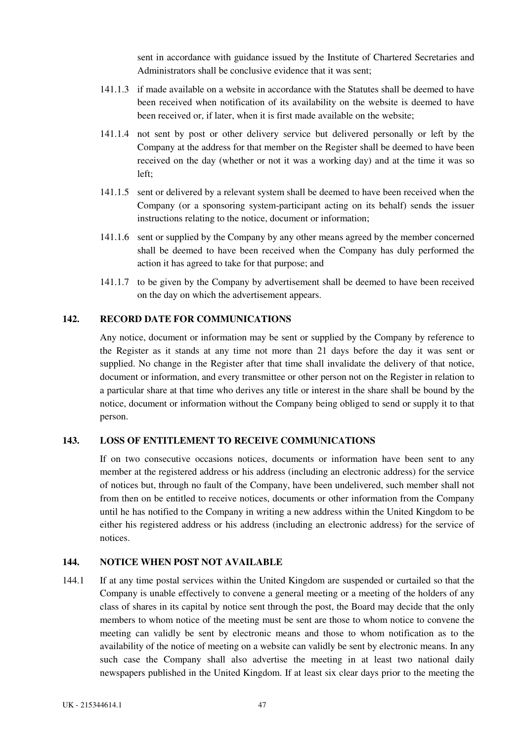sent in accordance with guidance issued by the Institute of Chartered Secretaries and Administrators shall be conclusive evidence that it was sent;

- <span id="page-52-0"></span>141.1.3 if made available on a website in accordance with the Statutes shall be deemed to have been received when notification of its availability on the website is deemed to have been received or, if later, when it is first made available on the website;
- 141.1.4 not sent by post or other delivery service but delivered personally or left by the Company at the address for that member on the Register shall be deemed to have been received on the day (whether or not it was a working day) and at the time it was so left;
- 141.1.5 sent or delivered by a relevant system shall be deemed to have been received when the Company (or a sponsoring system-participant acting on its behalf) sends the issuer instructions relating to the notice, document or information;
- 141.1.6 sent or supplied by the Company by any other means agreed by the member concerned shall be deemed to have been received when the Company has duly performed the action it has agreed to take for that purpose; and
- 141.1.7 to be given by the Company by advertisement shall be deemed to have been received on the day on which the advertisement appears.

## **142. RECORD DATE FOR COMMUNICATIONS**

Any notice, document or information may be sent or supplied by the Company by reference to the Register as it stands at any time not more than 21 days before the day it was sent or supplied. No change in the Register after that time shall invalidate the delivery of that notice, document or information, and every transmittee or other person not on the Register in relation to a particular share at that time who derives any title or interest in the share shall be bound by the notice, document or information without the Company being obliged to send or supply it to that person.

## **143. LOSS OF ENTITLEMENT TO RECEIVE COMMUNICATIONS**

If on two consecutive occasions notices, documents or information have been sent to any member at the registered address or his address (including an electronic address) for the service of notices but, through no fault of the Company, have been undelivered, such member shall not from then on be entitled to receive notices, documents or other information from the Company until he has notified to the Company in writing a new address within the United Kingdom to be either his registered address or his address (including an electronic address) for the service of notices.

## **144. NOTICE WHEN POST NOT AVAILABLE**

144.1 If at any time postal services within the United Kingdom are suspended or curtailed so that the Company is unable effectively to convene a general meeting or a meeting of the holders of any class of shares in its capital by notice sent through the post, the Board may decide that the only members to whom notice of the meeting must be sent are those to whom notice to convene the meeting can validly be sent by electronic means and those to whom notification as to the availability of the notice of meeting on a website can validly be sent by electronic means. In any such case the Company shall also advertise the meeting in at least two national daily newspapers published in the United Kingdom. If at least six clear days prior to the meeting the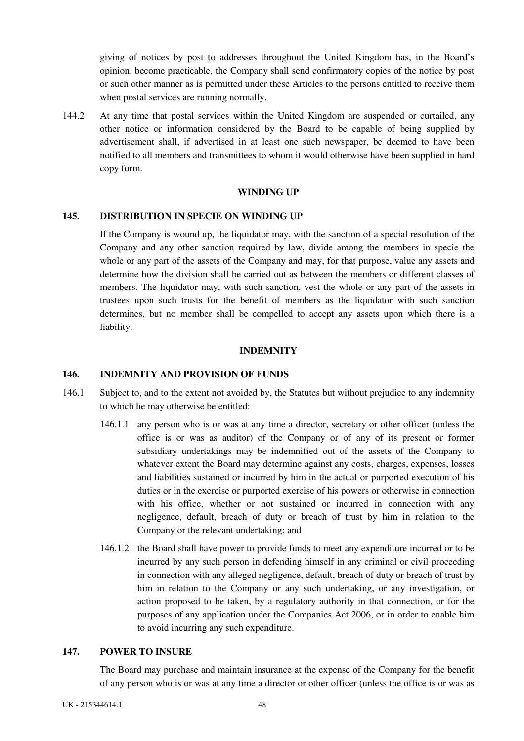<span id="page-53-0"></span>giving of notices by post to addresses throughout the United Kingdom has, in the Board's opinion, become practicable, the Company shall send confirmatory copies of the notice by post or such other manner as is permitted under these Articles to the persons entitled to receive them when postal services are running normally.

144.2 At any time that postal services within the United Kingdom are suspended or curtailed, any other notice or information considered by the Board to be capable of being supplied by advertisement shall, if advertised in at least one such newspaper, be deemed to have been notified to all members and transmittees to whom it would otherwise have been supplied in hard copy form.

#### **WINDING UP**

### **145. DISTRIBUTION IN SPECIE ON WINDING UP**

If the Company is wound up, the liquidator may, with the sanction of a special resolution of the Company and any other sanction required by law, divide among the members in specie the whole or any part of the assets of the Company and may, for that purpose, value any assets and determine how the division shall be carried out as between the members or different classes of members. The liquidator may, with such sanction, vest the whole or any part of the assets in trustees upon such trusts for the benefit of members as the liquidator with such sanction determines, but no member shall be compelled to accept any assets upon which there is a liability.

#### **INDEMNITY**

### **146. INDEMNITY AND PROVISION OF FUNDS**

- 146.1 Subject to, and to the extent not avoided by, the Statutes but without prejudice to any indemnity to which he may otherwise be entitled:
	- 146.1.1 any person who is or was at any time a director, secretary or other officer (unless the office is or was as auditor) of the Company or of any of its present or former subsidiary undertakings may be indemnified out of the assets of the Company to whatever extent the Board may determine against any costs, charges, expenses, losses and liabilities sustained or incurred by him in the actual or purported execution of his duties or in the exercise or purported exercise of his powers or otherwise in connection with his office, whether or not sustained or incurred in connection with any negligence, default, breach of duty or breach of trust by him in relation to the Company or the relevant undertaking; and
	- 146.1.2 the Board shall have power to provide funds to meet any expenditure incurred or to be incurred by any such person in defending himself in any criminal or civil proceeding in connection with any alleged negligence, default, breach of duty or breach of trust by him in relation to the Company or any such undertaking, or any investigation, or action proposed to be taken, by a regulatory authority in that connection, or for the purposes of any application under the Companies Act 2006, or in order to enable him to avoid incurring any such expenditure.

#### **147. POWER TO INSURE**

The Board may purchase and maintain insurance at the expense of the Company for the benefit of any person who is or was at any time a director or other officer (unless the office is or was as